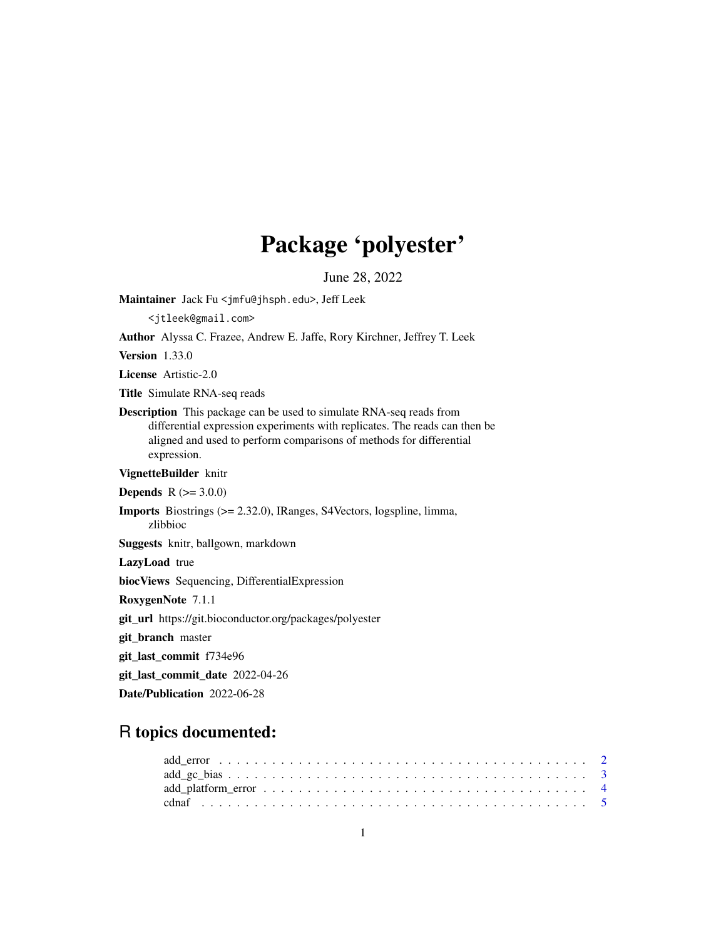# Package 'polyester'

June 28, 2022

<span id="page-0-0"></span>Maintainer Jack Fu <jmfu@jhsph.edu>, Jeff Leek <jtleek@gmail.com> Author Alyssa C. Frazee, Andrew E. Jaffe, Rory Kirchner, Jeffrey T. Leek Version 1.33.0 License Artistic-2.0 Title Simulate RNA-seq reads Description This package can be used to simulate RNA-seq reads from differential expression experiments with replicates. The reads can then be aligned and used to perform comparisons of methods for differential expression. VignetteBuilder knitr **Depends** R  $(>= 3.0.0)$ Imports Biostrings (>= 2.32.0), IRanges, S4Vectors, logspline, limma, zlibbioc Suggests knitr, ballgown, markdown LazyLoad true biocViews Sequencing, DifferentialExpression RoxygenNote 7.1.1 git\_url https://git.bioconductor.org/packages/polyester git\_branch master git\_last\_commit f734e96 git\_last\_commit\_date 2022-04-26 Date/Publication 2022-06-28

## R topics documented: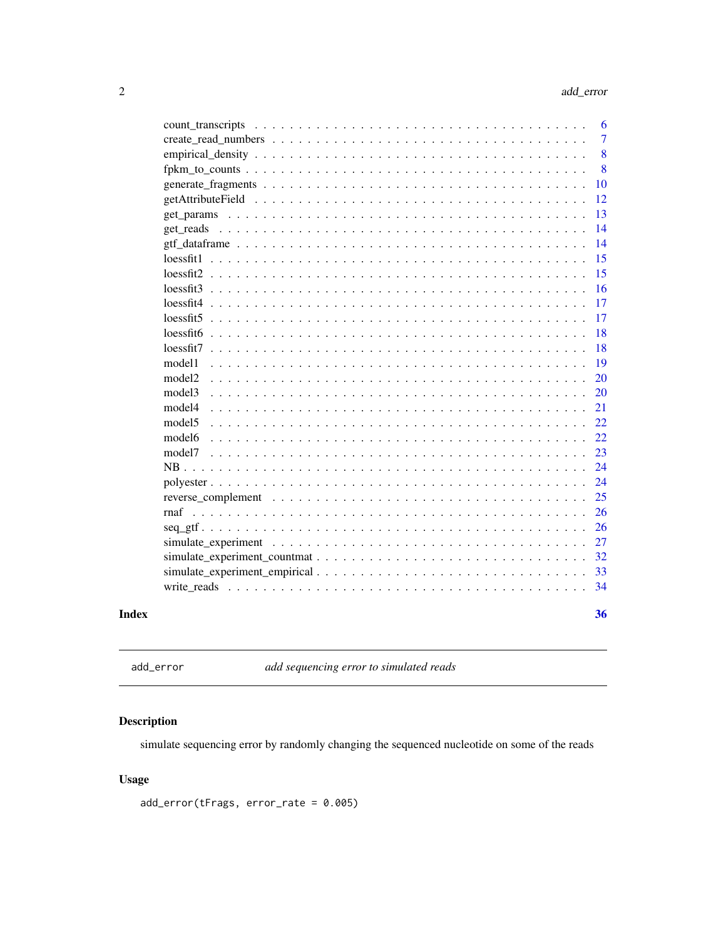<span id="page-1-0"></span>

| Index |                        | 36             |
|-------|------------------------|----------------|
|       |                        | 34             |
|       |                        | 33             |
|       |                        | 32             |
|       |                        | 27             |
|       |                        | 26             |
|       |                        | 26             |
|       |                        | 25             |
|       |                        | 24             |
|       |                        | 24             |
|       | model7                 | 23             |
|       | model6                 | 22             |
|       | model <sub>5</sub>     | 22             |
|       | model4                 | 21             |
|       | model3                 | 20             |
|       | model <sub>2</sub>     | 20             |
|       | model1                 | 19             |
|       |                        | 18             |
|       | $lossfit5$<br>lossfit6 | 18             |
|       | $lossfit4$             | 17<br>17       |
|       |                        | 16             |
|       |                        | 15             |
|       | lossfit1               | 15             |
|       |                        | 14             |
|       |                        | 14             |
|       |                        | 13             |
|       |                        | 12             |
|       |                        | 10             |
|       |                        | 8              |
|       |                        | 8              |
|       |                        | $\overline{7}$ |
|       |                        | 6              |
|       |                        |                |

<span id="page-1-1"></span>add\_error *add sequencing error to simulated reads*

#### Description

simulate sequencing error by randomly changing the sequenced nucleotide on some of the reads

### Usage

add\_error(tFrags, error\_rate = 0.005)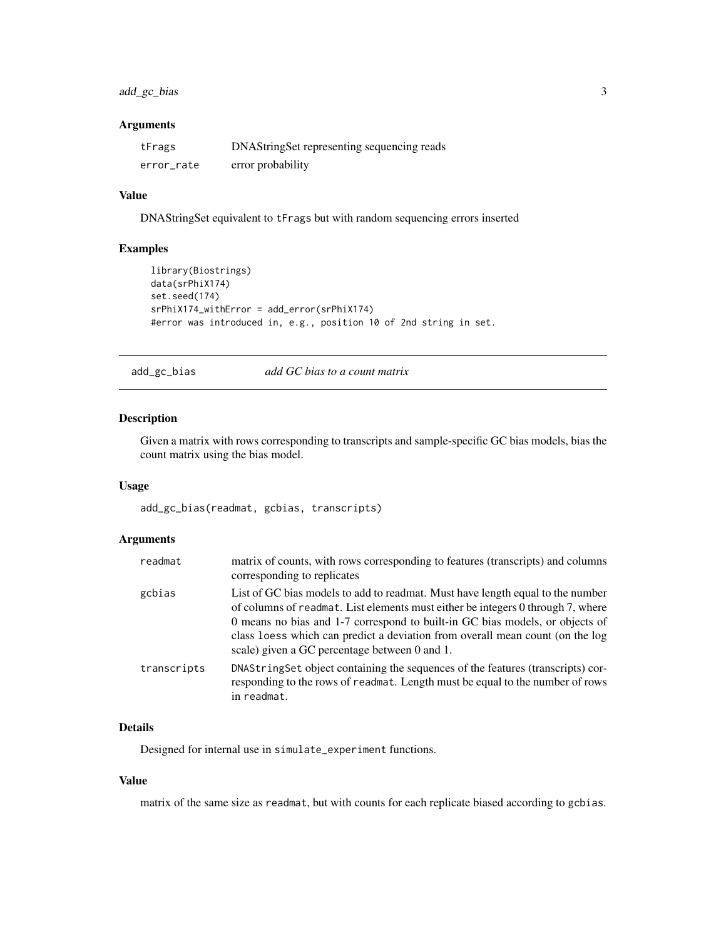#### <span id="page-2-0"></span>add\_gc\_bias 3

#### Arguments

| tFrags     | DNAStringSet representing sequencing reads |
|------------|--------------------------------------------|
| error_rate | error probability                          |

#### Value

DNAStringSet equivalent to tFrags but with random sequencing errors inserted

#### Examples

```
library(Biostrings)
data(srPhiX174)
set.seed(174)
srPhiX174_withError = add_error(srPhiX174)
#error was introduced in, e.g., position 10 of 2nd string in set.
```
add\_gc\_bias *add GC bias to a count matrix*

#### Description

Given a matrix with rows corresponding to transcripts and sample-specific GC bias models, bias the count matrix using the bias model.

#### Usage

add\_gc\_bias(readmat, gcbias, transcripts)

#### Arguments

| readmat     | matrix of counts, with rows corresponding to features (transcripts) and columns<br>corresponding to replicates                                                                                                                                                                                                                                                                      |
|-------------|-------------------------------------------------------------------------------------------------------------------------------------------------------------------------------------------------------------------------------------------------------------------------------------------------------------------------------------------------------------------------------------|
| gcbias      | List of GC bias models to add to readmat. Must have length equal to the number<br>of columns of readmat. List elements must either be integers 0 through 7, where<br>0 means no bias and 1-7 correspond to built-in GC bias models, or objects of<br>class loess which can predict a deviation from overall mean count (on the log<br>scale) given a GC percentage between 0 and 1. |
| transcripts | DNAString Set object containing the sequences of the features (transcripts) cor-<br>responding to the rows of readmat. Length must be equal to the number of rows<br>in readmat.                                                                                                                                                                                                    |

#### Details

Designed for internal use in simulate\_experiment functions.

#### Value

matrix of the same size as readmat, but with counts for each replicate biased according to gcbias.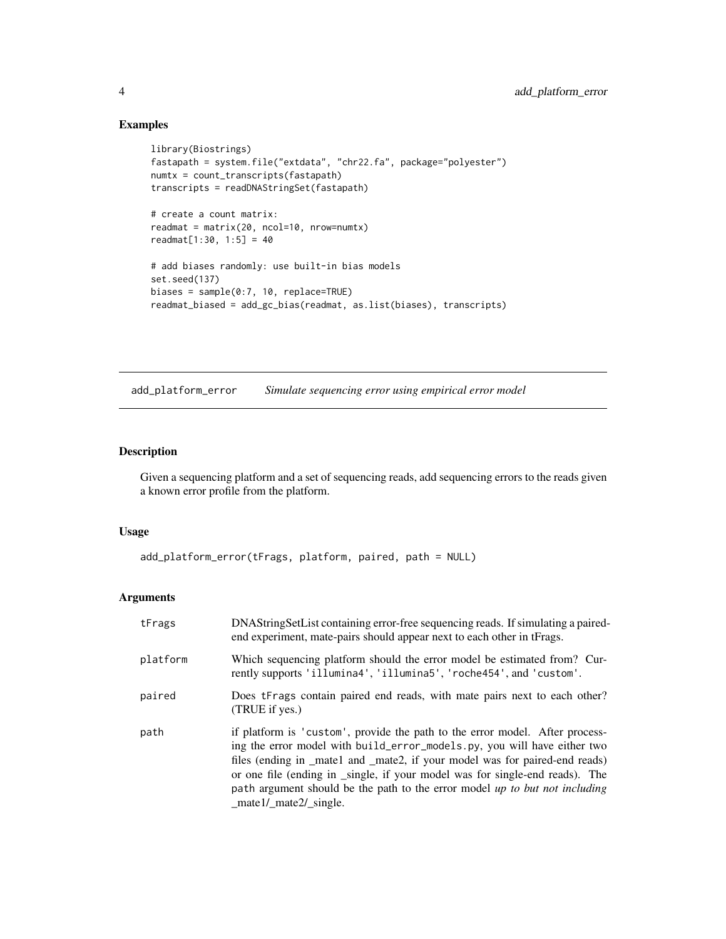#### Examples

```
library(Biostrings)
fastapath = system.file("extdata", "chr22.fa", package="polyester")
numtx = count_transcripts(fastapath)
transcripts = readDNAStringSet(fastapath)
# create a count matrix:
readmat = matrix(20, ncol=10, nrow=numtx)
readmat[1:30, 1:5] = 40
# add biases randomly: use built-in bias models
set.seed(137)
biases = sample(0:7, 10, replace=TRUE)
readmat_biased = add_gc_bias(readmat, as.list(biases), transcripts)
```
add\_platform\_error *Simulate sequencing error using empirical error model*

#### Description

Given a sequencing platform and a set of sequencing reads, add sequencing errors to the reads given a known error profile from the platform.

#### Usage

```
add_platform_error(tFrags, platform, paired, path = NULL)
```
#### Arguments

| tFrags   | DNAStringSetList containing error-free sequencing reads. If simulating a paired-<br>end experiment, mate-pairs should appear next to each other in tFrags.                                                                                                                                                                                                                                                                       |
|----------|----------------------------------------------------------------------------------------------------------------------------------------------------------------------------------------------------------------------------------------------------------------------------------------------------------------------------------------------------------------------------------------------------------------------------------|
| platform | Which sequencing platform should the error model be estimated from? Cur-<br>rently supports 'illumina4', 'illumina5', 'roche454', and 'custom'.                                                                                                                                                                                                                                                                                  |
| paired   | Does tFrags contain paired end reads, with mate pairs next to each other?<br>(TRUE if yes.)                                                                                                                                                                                                                                                                                                                                      |
| path     | if platform is 'custom', provide the path to the error model. After process-<br>ing the error model with build_error_models.py, you will have either two<br>files (ending in _mate1 and _mate2, if your model was for paired-end reads)<br>or one file (ending in _single, if your model was for single-end reads). The<br>path argument should be the path to the error model up to but not including<br>_mate1/_mate2/_single. |

<span id="page-3-0"></span>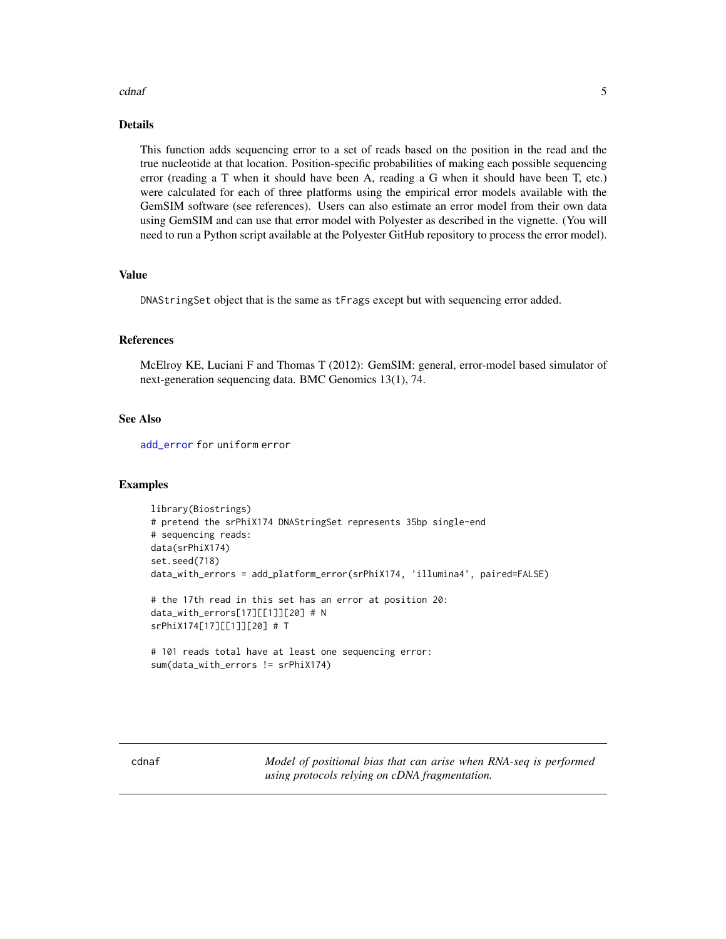#### <span id="page-4-0"></span>cdnaf 5

#### Details

This function adds sequencing error to a set of reads based on the position in the read and the true nucleotide at that location. Position-specific probabilities of making each possible sequencing error (reading a T when it should have been A, reading a G when it should have been T, etc.) were calculated for each of three platforms using the empirical error models available with the GemSIM software (see references). Users can also estimate an error model from their own data using GemSIM and can use that error model with Polyester as described in the vignette. (You will need to run a Python script available at the Polyester GitHub repository to process the error model).

#### Value

DNAStringSet object that is the same as tFrags except but with sequencing error added.

#### References

McElroy KE, Luciani F and Thomas T (2012): GemSIM: general, error-model based simulator of next-generation sequencing data. BMC Genomics 13(1), 74.

#### See Also

[add\\_error](#page-1-1) for uniform error

#### Examples

```
library(Biostrings)
# pretend the srPhiX174 DNAStringSet represents 35bp single-end
# sequencing reads:
data(srPhiX174)
set.seed(718)
data_with_errors = add_platform_error(srPhiX174, 'illumina4', paired=FALSE)
# the 17th read in this set has an error at position 20:
data_with_errors[17][[1]][20] # N
srPhiX174[17][[1]][20] # T
# 101 reads total have at least one sequencing error:
sum(data_with_errors != srPhiX174)
```
cdnaf *Model of positional bias that can arise when RNA-seq is performed using protocols relying on cDNA fragmentation.*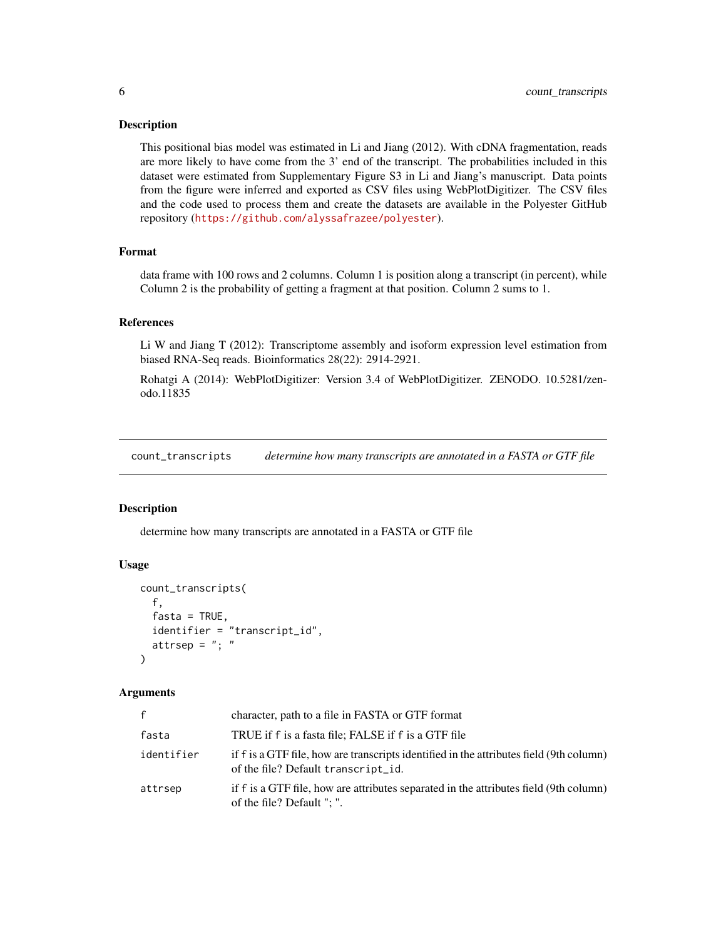<span id="page-5-0"></span>This positional bias model was estimated in Li and Jiang (2012). With cDNA fragmentation, reads are more likely to have come from the 3' end of the transcript. The probabilities included in this dataset were estimated from Supplementary Figure S3 in Li and Jiang's manuscript. Data points from the figure were inferred and exported as CSV files using WebPlotDigitizer. The CSV files and the code used to process them and create the datasets are available in the Polyester GitHub repository (<https://github.com/alyssafrazee/polyester>).

#### Format

data frame with 100 rows and 2 columns. Column 1 is position along a transcript (in percent), while Column 2 is the probability of getting a fragment at that position. Column 2 sums to 1.

#### References

Li W and Jiang T (2012): Transcriptome assembly and isoform expression level estimation from biased RNA-Seq reads. Bioinformatics 28(22): 2914-2921.

Rohatgi A (2014): WebPlotDigitizer: Version 3.4 of WebPlotDigitizer. ZENODO. 10.5281/zenodo.11835

count\_transcripts *determine how many transcripts are annotated in a FASTA or GTF file*

#### Description

determine how many transcripts are annotated in a FASTA or GTF file

#### Usage

```
count_transcripts(
  f,
  fasta = TRUE,identifier = "transcript_id",
  attrsep = "; "
)
```
#### Arguments

| f          | character, path to a file in FASTA or GTF format                                                                               |
|------------|--------------------------------------------------------------------------------------------------------------------------------|
| fasta      | TRUE if f is a fasta file; FALSE if f is a GTF file                                                                            |
| identifier | if f is a GTF file, how are transcripts identified in the attributes field (9th column)<br>of the file? Default transcript_id. |
| attrsep    | if f is a GTF file, how are attributes separated in the attributes field (9th column)<br>of the file? Default "; ".            |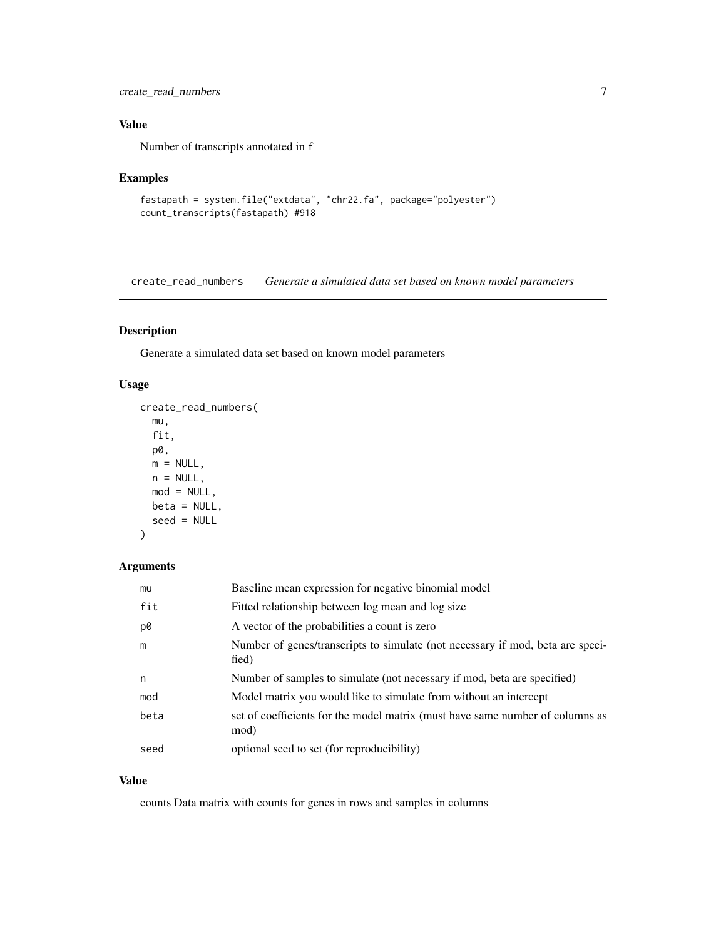#### <span id="page-6-0"></span>create\_read\_numbers 7

#### Value

Number of transcripts annotated in f

#### Examples

```
fastapath = system.file("extdata", "chr22.fa", package="polyester")
count_transcripts(fastapath) #918
```
create\_read\_numbers *Generate a simulated data set based on known model parameters*

#### Description

Generate a simulated data set based on known model parameters

#### Usage

```
create_read_numbers(
 mu,
  fit,
 p0,
 m = NULL,n = NULL,mod = NULL,beta = NULL,
  seed = NULL
)
```
#### Arguments

| mu   | Baseline mean expression for negative binomial model                                    |
|------|-----------------------------------------------------------------------------------------|
| fit  | Fitted relationship between log mean and log size                                       |
| p0   | A vector of the probabilities a count is zero                                           |
| m    | Number of genes/transcripts to simulate (not necessary if mod, beta are speci-<br>fied) |
| n    | Number of samples to simulate (not necessary if mod, beta are specified)                |
| mod  | Model matrix you would like to simulate from without an intercept                       |
| beta | set of coefficients for the model matrix (must have same number of columns as<br>mod)   |
| seed | optional seed to set (for reproducibility)                                              |

#### Value

counts Data matrix with counts for genes in rows and samples in columns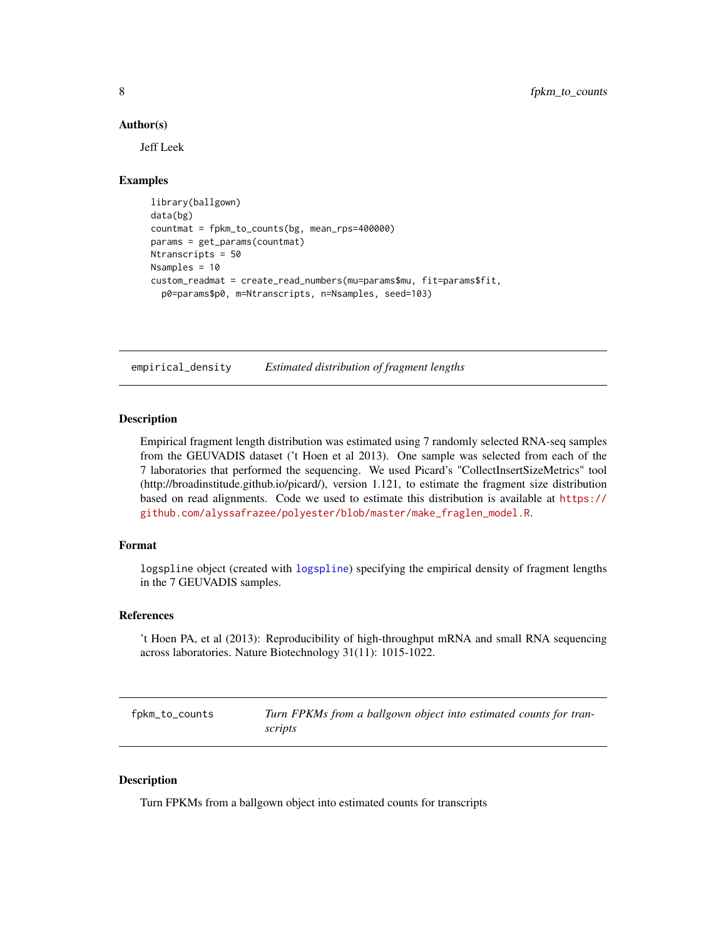#### <span id="page-7-0"></span>Author(s)

Jeff Leek

#### Examples

```
library(ballgown)
data(bg)
countmat = fpkm_to_counts(bg, mean_rps=400000)
params = get_params(countmat)
Ntranscripts = 50
Nsamples = 10
custom_readmat = create_read_numbers(mu=params$mu, fit=params$fit,
  p0=params$p0, m=Ntranscripts, n=Nsamples, seed=103)
```
empirical\_density *Estimated distribution of fragment lengths*

#### Description

Empirical fragment length distribution was estimated using 7 randomly selected RNA-seq samples from the GEUVADIS dataset ('t Hoen et al 2013). One sample was selected from each of the 7 laboratories that performed the sequencing. We used Picard's "CollectInsertSizeMetrics" tool (http://broadinstitude.github.io/picard/), version 1.121, to estimate the fragment size distribution based on read alignments. Code we used to estimate this distribution is available at [https://](https://github.com/alyssafrazee/polyester/blob/master/make_fraglen_model.R) [github.com/alyssafrazee/polyester/blob/master/make\\_fraglen\\_model.R](https://github.com/alyssafrazee/polyester/blob/master/make_fraglen_model.R).

#### Format

logspline object (created with [logspline](#page-0-0)) specifying the empirical density of fragment lengths in the 7 GEUVADIS samples.

#### References

't Hoen PA, et al (2013): Reproducibility of high-throughput mRNA and small RNA sequencing across laboratories. Nature Biotechnology 31(11): 1015-1022.

<span id="page-7-1"></span>fpkm\_to\_counts *Turn FPKMs from a ballgown object into estimated counts for transcripts*

#### Description

Turn FPKMs from a ballgown object into estimated counts for transcripts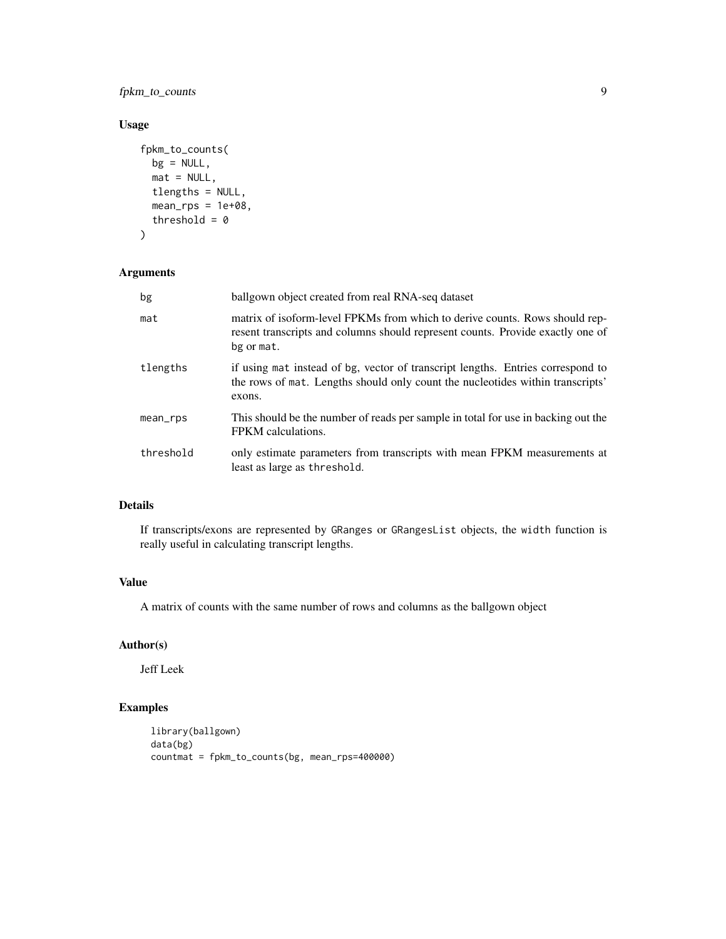fpkm\_to\_counts 9

#### Usage

```
fpkm_to_counts(
 bg = NULL,mat = NULL,tlengths = NULL,
 mean_rps = 1e+08,
 threshold = 0)
```
#### Arguments

| bg        | ballgown object created from real RNA-seq dataset                                                                                                                           |
|-----------|-----------------------------------------------------------------------------------------------------------------------------------------------------------------------------|
| mat       | matrix of isoform-level FPKMs from which to derive counts. Rows should rep-<br>resent transcripts and columns should represent counts. Provide exactly one of<br>bg or mat. |
| tlengths  | if using mat instead of bg, vector of transcript lengths. Entries correspond to<br>the rows of mat. Lengths should only count the nucleotides within transcripts'<br>exons. |
| mean_rps  | This should be the number of reads per sample in total for use in backing out the<br>FPKM calculations.                                                                     |
| threshold | only estimate parameters from transcripts with mean FPKM measurements at<br>least as large as threshold.                                                                    |

#### Details

If transcripts/exons are represented by GRanges or GRangesList objects, the width function is really useful in calculating transcript lengths.

#### Value

A matrix of counts with the same number of rows and columns as the ballgown object

#### Author(s)

Jeff Leek

```
library(ballgown)
data(bg)
countmat = fpkm_to_counts(bg, mean_rps=400000)
```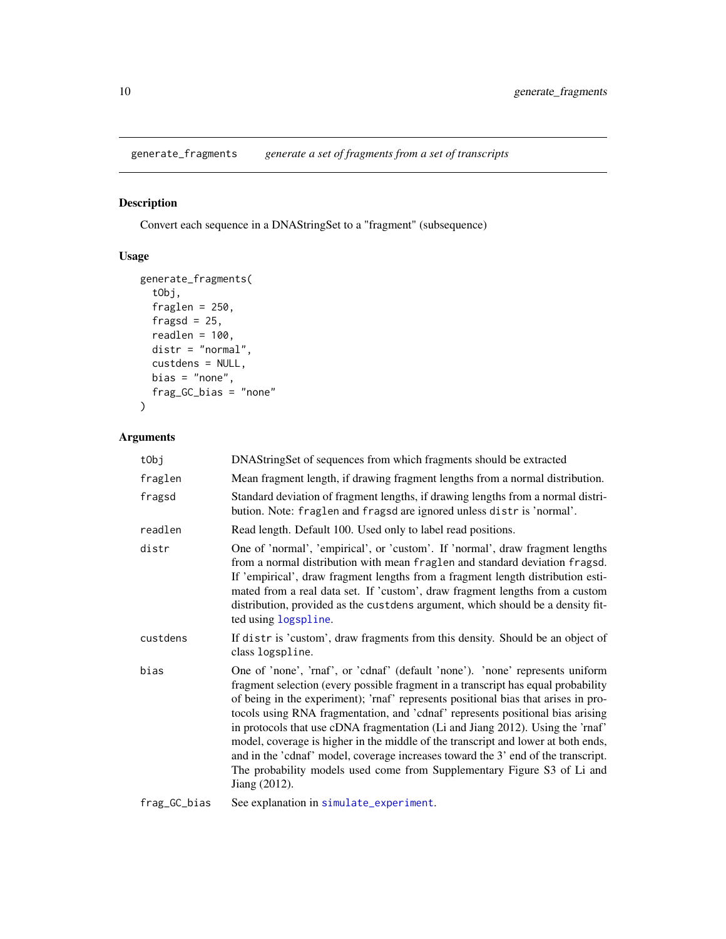<span id="page-9-0"></span>generate\_fragments *generate a set of fragments from a set of transcripts*

#### Description

Convert each sequence in a DNAStringSet to a "fragment" (subsequence)

#### Usage

```
generate_fragments(
  tObj,
  fraglen = 250,
  fragsd = 25,
  readlen = 100,
  distr = "normal",
  custdens = NULL,
  bias = "none",frag_GC_bias = "none"
\overline{\phantom{a}}
```
#### Arguments

| tObj                       | DNAStringSet of sequences from which fragments should be extracted                                                                                                                                                                                                                                                                                                                                                                                                                                                                                                                                                                                                                                 |
|----------------------------|----------------------------------------------------------------------------------------------------------------------------------------------------------------------------------------------------------------------------------------------------------------------------------------------------------------------------------------------------------------------------------------------------------------------------------------------------------------------------------------------------------------------------------------------------------------------------------------------------------------------------------------------------------------------------------------------------|
| fraglen                    | Mean fragment length, if drawing fragment lengths from a normal distribution.                                                                                                                                                                                                                                                                                                                                                                                                                                                                                                                                                                                                                      |
| fragsd                     | Standard deviation of fragment lengths, if drawing lengths from a normal distri-<br>bution. Note: fraglen and fragsd are ignored unless distris 'normal'.                                                                                                                                                                                                                                                                                                                                                                                                                                                                                                                                          |
| readlen                    | Read length. Default 100. Used only to label read positions.                                                                                                                                                                                                                                                                                                                                                                                                                                                                                                                                                                                                                                       |
| distr                      | One of 'normal', 'empirical', or 'custom'. If 'normal', draw fragment lengths<br>from a normal distribution with mean fraglen and standard deviation fragsd.<br>If 'empirical', draw fragment lengths from a fragment length distribution esti-<br>mated from a real data set. If 'custom', draw fragment lengths from a custom<br>distribution, provided as the custdens argument, which should be a density fit-<br>ted using logspline.                                                                                                                                                                                                                                                         |
| custdens                   | If distr is 'custom', draw fragments from this density. Should be an object of<br>class logspline.                                                                                                                                                                                                                                                                                                                                                                                                                                                                                                                                                                                                 |
| bias                       | One of 'none', 'rnaf', or 'cdnaf' (default 'none'). 'none' represents uniform<br>fragment selection (every possible fragment in a transcript has equal probability<br>of being in the experiment); 'rnaf' represents positional bias that arises in pro-<br>tocols using RNA fragmentation, and 'cdnaf' represents positional bias arising<br>in protocols that use cDNA fragmentation (Li and Jiang 2012). Using the 'rnaf'<br>model, coverage is higher in the middle of the transcript and lower at both ends,<br>and in the 'cdnaf' model, coverage increases toward the 3' end of the transcript.<br>The probability models used come from Supplementary Figure S3 of Li and<br>Jiang (2012). |
| $L_{max}$ $\cap$ $h_{max}$ | $\Gamma$ as a unlapplication in $\sigma$ in $\Gamma$ at a supposition $\pm$                                                                                                                                                                                                                                                                                                                                                                                                                                                                                                                                                                                                                        |

frag\_GC\_bias See explanation in [simulate\\_experiment](#page-26-1).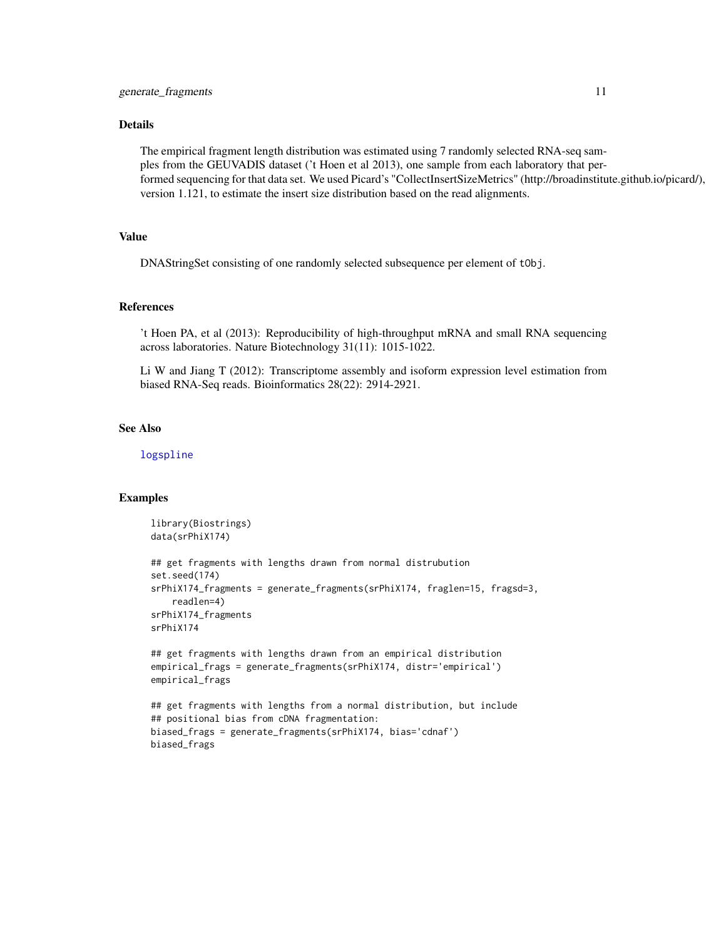#### <span id="page-10-0"></span>Details

The empirical fragment length distribution was estimated using 7 randomly selected RNA-seq samples from the GEUVADIS dataset ('t Hoen et al 2013), one sample from each laboratory that performed sequencing for that data set. We used Picard's "CollectInsertSizeMetrics" (http://broadinstitute.github.io/picard/), version 1.121, to estimate the insert size distribution based on the read alignments.

#### Value

DNAStringSet consisting of one randomly selected subsequence per element of tObj.

#### References

't Hoen PA, et al (2013): Reproducibility of high-throughput mRNA and small RNA sequencing across laboratories. Nature Biotechnology 31(11): 1015-1022.

Li W and Jiang T (2012): Transcriptome assembly and isoform expression level estimation from biased RNA-Seq reads. Bioinformatics 28(22): 2914-2921.

#### See Also

[logspline](#page-0-0)

```
library(Biostrings)
data(srPhiX174)
## get fragments with lengths drawn from normal distrubution
set.seed(174)
srPhiX174_fragments = generate_fragments(srPhiX174, fraglen=15, fragsd=3,
    readlen=4)
srPhiX174_fragments
srPhiX174
## get fragments with lengths drawn from an empirical distribution
empirical_frags = generate_fragments(srPhiX174, distr='empirical')
empirical_frags
## get fragments with lengths from a normal distribution, but include
## positional bias from cDNA fragmentation:
biased_frags = generate_fragments(srPhiX174, bias='cdnaf')
biased_frags
```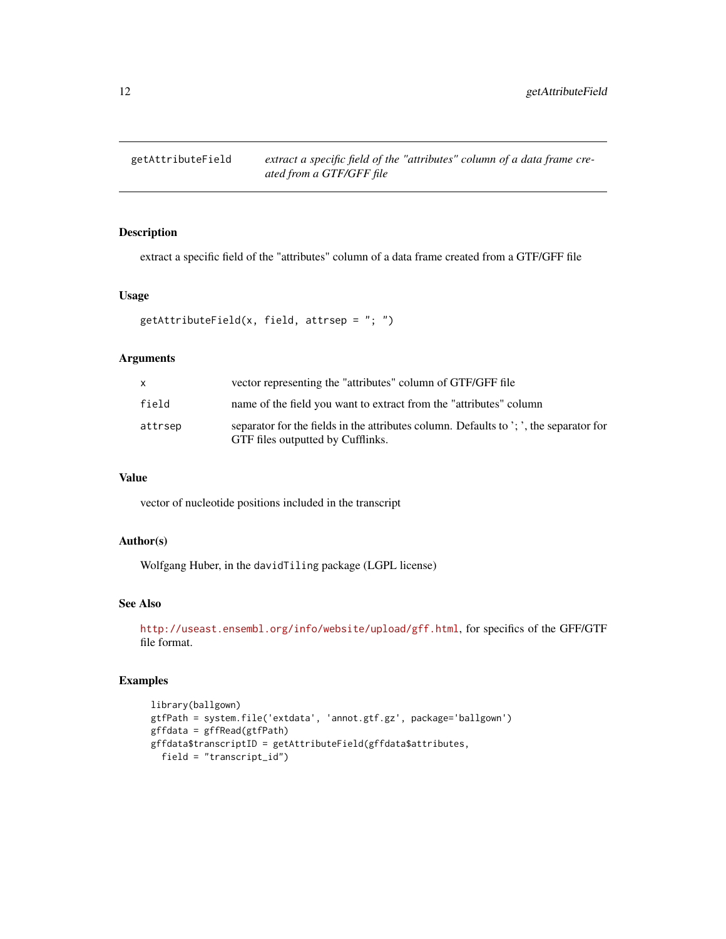<span id="page-11-0"></span>

extract a specific field of the "attributes" column of a data frame created from a GTF/GFF file

#### Usage

```
getAttributeField(x, field, attrsep = "; ")
```
#### Arguments

| X       | vector representing the "attributes" column of GTF/GFF file                                                                 |
|---------|-----------------------------------------------------------------------------------------------------------------------------|
| field   | name of the field you want to extract from the "attributes" column                                                          |
| attrsep | separator for the fields in the attributes column. Defaults to ': ', the separator for<br>GTF files outputted by Cufflinks. |

#### Value

vector of nucleotide positions included in the transcript

#### Author(s)

Wolfgang Huber, in the davidTiling package (LGPL license)

#### See Also

<http://useast.ensembl.org/info/website/upload/gff.html>, for specifics of the GFF/GTF file format.

```
library(ballgown)
gtfPath = system.file('extdata', 'annot.gtf.gz', package='ballgown')
gffdata = gffRead(gtfPath)
gffdata$transcriptID = getAttributeField(gffdata$attributes,
  field = "transcript_id")
```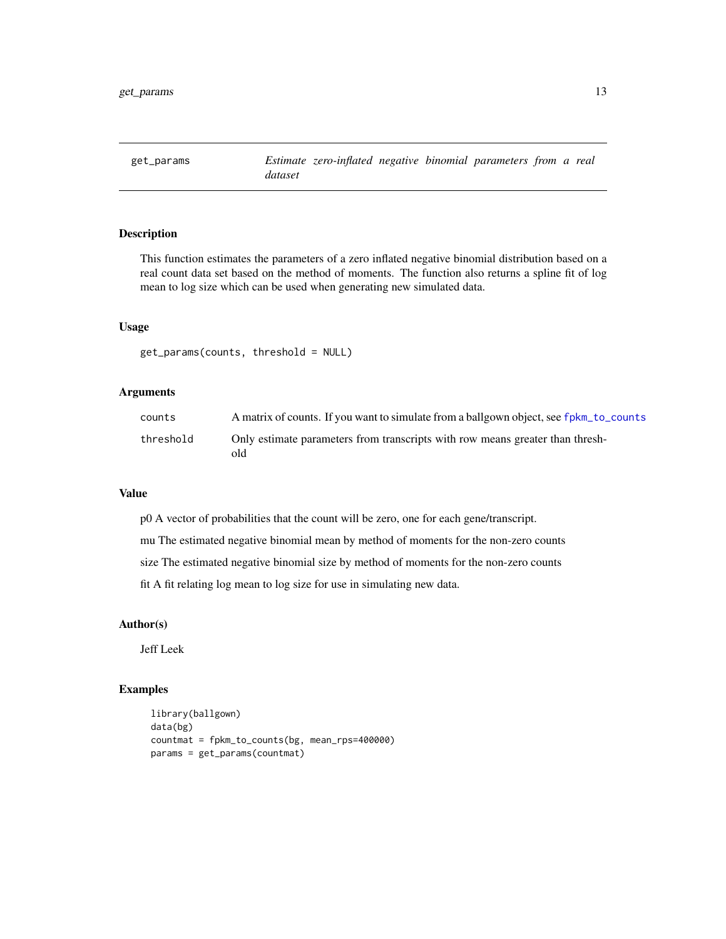<span id="page-12-0"></span>

This function estimates the parameters of a zero inflated negative binomial distribution based on a real count data set based on the method of moments. The function also returns a spline fit of log mean to log size which can be used when generating new simulated data.

#### Usage

```
get_params(counts, threshold = NULL)
```
#### Arguments

| counts    | A matrix of counts. If you want to simulate from a ballgown object, see fpkm_to_counts |
|-----------|----------------------------------------------------------------------------------------|
| threshold | Only estimate parameters from transcripts with row means greater than thresh-<br>old   |

#### Value

p0 A vector of probabilities that the count will be zero, one for each gene/transcript.

mu The estimated negative binomial mean by method of moments for the non-zero counts

size The estimated negative binomial size by method of moments for the non-zero counts

fit A fit relating log mean to log size for use in simulating new data.

#### Author(s)

Jeff Leek

```
library(ballgown)
data(bg)
countmat = fpkm_to_counts(bg, mean_rps=400000)
params = get_params(countmat)
```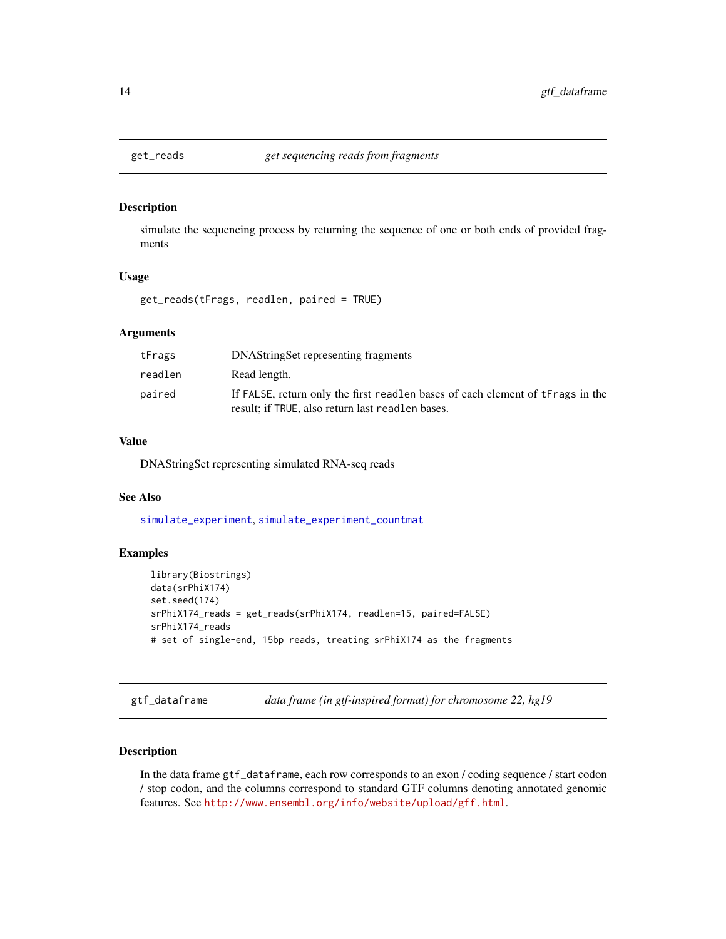<span id="page-13-1"></span><span id="page-13-0"></span>

simulate the sequencing process by returning the sequence of one or both ends of provided fragments

#### Usage

get\_reads(tFrags, readlen, paired = TRUE)

#### Arguments

| tFrags  | DNAStringSet representing fragments                                                                                                |
|---------|------------------------------------------------------------------------------------------------------------------------------------|
| readlen | Read length.                                                                                                                       |
| paired  | If FALSE, return only the first readlen bases of each element of tFrags in the<br>result; if TRUE, also return last readlen bases. |

#### Value

DNAStringSet representing simulated RNA-seq reads

#### See Also

[simulate\\_experiment](#page-26-1), [simulate\\_experiment\\_countmat](#page-31-1)

#### Examples

```
library(Biostrings)
data(srPhiX174)
set.seed(174)
srPhiX174_reads = get_reads(srPhiX174, readlen=15, paired=FALSE)
srPhiX174_reads
# set of single-end, 15bp reads, treating srPhiX174 as the fragments
```
gtf\_dataframe *data frame (in gtf-inspired format) for chromosome 22, hg19*

#### Description

In the data frame gtf\_dataframe, each row corresponds to an exon / coding sequence / start codon / stop codon, and the columns correspond to standard GTF columns denoting annotated genomic features. See <http://www.ensembl.org/info/website/upload/gff.html>.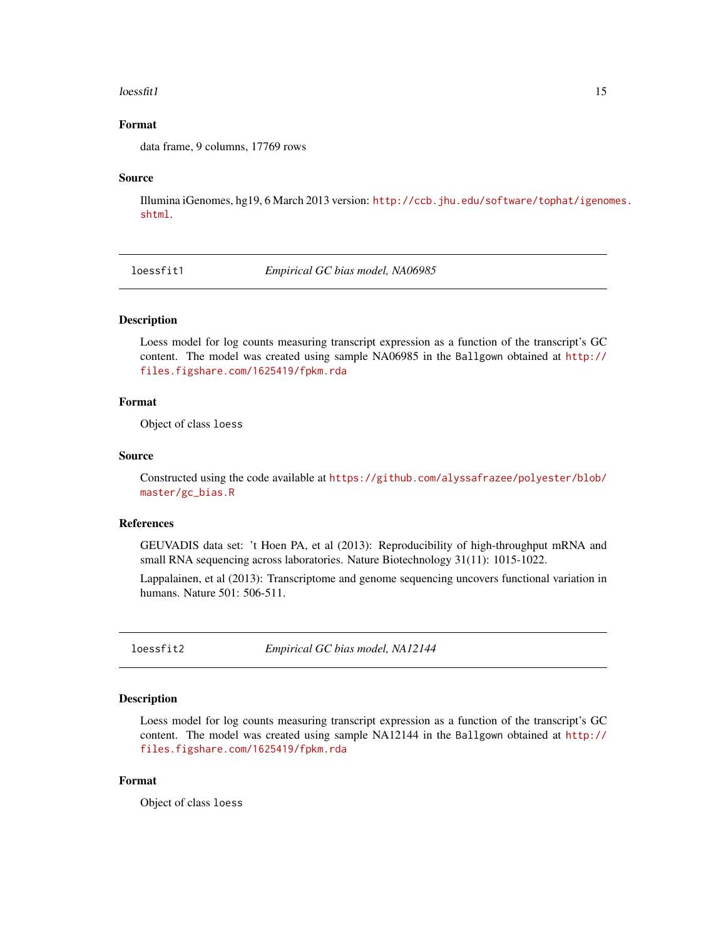#### <span id="page-14-0"></span> $\text{lossfit1}$  15

#### Format

data frame, 9 columns, 17769 rows

#### Source

Illumina iGenomes, hg19, 6 March 2013 version: [http://ccb.jhu.edu/software/tophat/igeno](http://ccb.jhu.edu/software/tophat/igenomes.shtml)mes. [shtml](http://ccb.jhu.edu/software/tophat/igenomes.shtml).

loessfit1 *Empirical GC bias model, NA06985*

#### **Description**

Loess model for log counts measuring transcript expression as a function of the transcript's GC content. The model was created using sample NA06985 in the Ballgown obtained at [http://](http://files.figshare.com/1625419/fpkm.rda) [files.figshare.com/1625419/fpkm.rda](http://files.figshare.com/1625419/fpkm.rda)

#### Format

Object of class loess

#### Source

Constructed using the code available at [https://github.com/alyssafrazee/polyester/blob/](https://github.com/alyssafrazee/polyester/blob/master/gc_bias.R) [master/gc\\_bias.R](https://github.com/alyssafrazee/polyester/blob/master/gc_bias.R)

#### References

GEUVADIS data set: 't Hoen PA, et al (2013): Reproducibility of high-throughput mRNA and small RNA sequencing across laboratories. Nature Biotechnology 31(11): 1015-1022.

Lappalainen, et al (2013): Transcriptome and genome sequencing uncovers functional variation in humans. Nature 501: 506-511.

loessfit2 *Empirical GC bias model, NA12144*

#### Description

Loess model for log counts measuring transcript expression as a function of the transcript's GC content. The model was created using sample NA12144 in the Ballgown obtained at [http://](http://files.figshare.com/1625419/fpkm.rda) [files.figshare.com/1625419/fpkm.rda](http://files.figshare.com/1625419/fpkm.rda)

#### Format

Object of class loess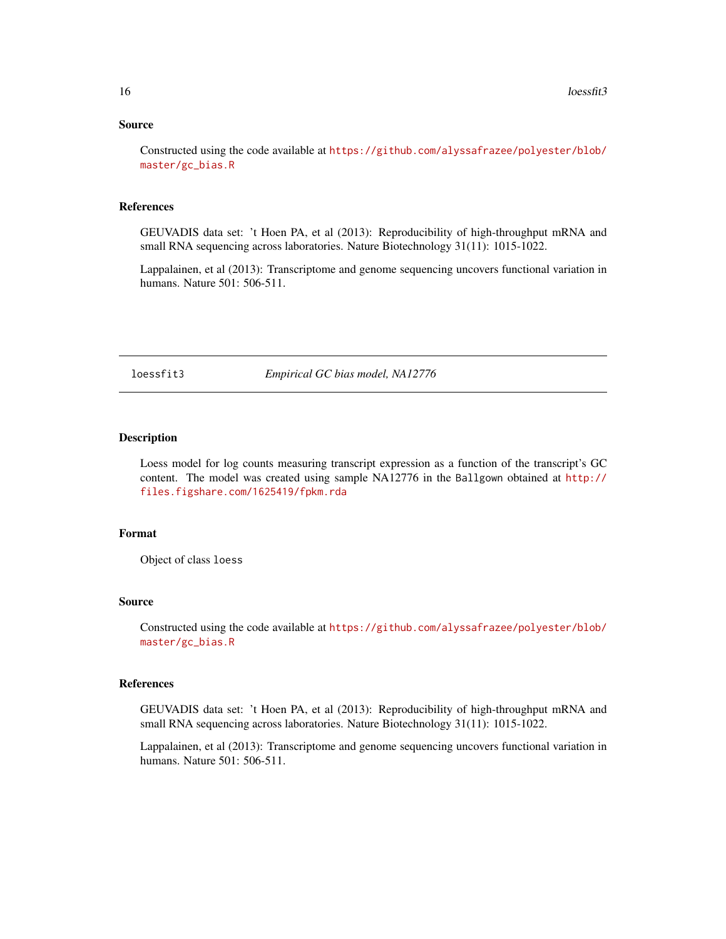#### <span id="page-15-0"></span>Source

Constructed using the code available at [https://github.com/alyssafrazee/polyester/blob/](https://github.com/alyssafrazee/polyester/blob/master/gc_bias.R) [master/gc\\_bias.R](https://github.com/alyssafrazee/polyester/blob/master/gc_bias.R)

#### References

GEUVADIS data set: 't Hoen PA, et al (2013): Reproducibility of high-throughput mRNA and small RNA sequencing across laboratories. Nature Biotechnology 31(11): 1015-1022.

Lappalainen, et al (2013): Transcriptome and genome sequencing uncovers functional variation in humans. Nature 501: 506-511.

loessfit3 *Empirical GC bias model, NA12776*

#### Description

Loess model for log counts measuring transcript expression as a function of the transcript's GC content. The model was created using sample NA12776 in the Ballgown obtained at [http://](http://files.figshare.com/1625419/fpkm.rda) [files.figshare.com/1625419/fpkm.rda](http://files.figshare.com/1625419/fpkm.rda)

#### Format

Object of class loess

#### Source

Constructed using the code available at [https://github.com/alyssafrazee/polyester/blob/](https://github.com/alyssafrazee/polyester/blob/master/gc_bias.R) [master/gc\\_bias.R](https://github.com/alyssafrazee/polyester/blob/master/gc_bias.R)

#### References

GEUVADIS data set: 't Hoen PA, et al (2013): Reproducibility of high-throughput mRNA and small RNA sequencing across laboratories. Nature Biotechnology 31(11): 1015-1022.

Lappalainen, et al (2013): Transcriptome and genome sequencing uncovers functional variation in humans. Nature 501: 506-511.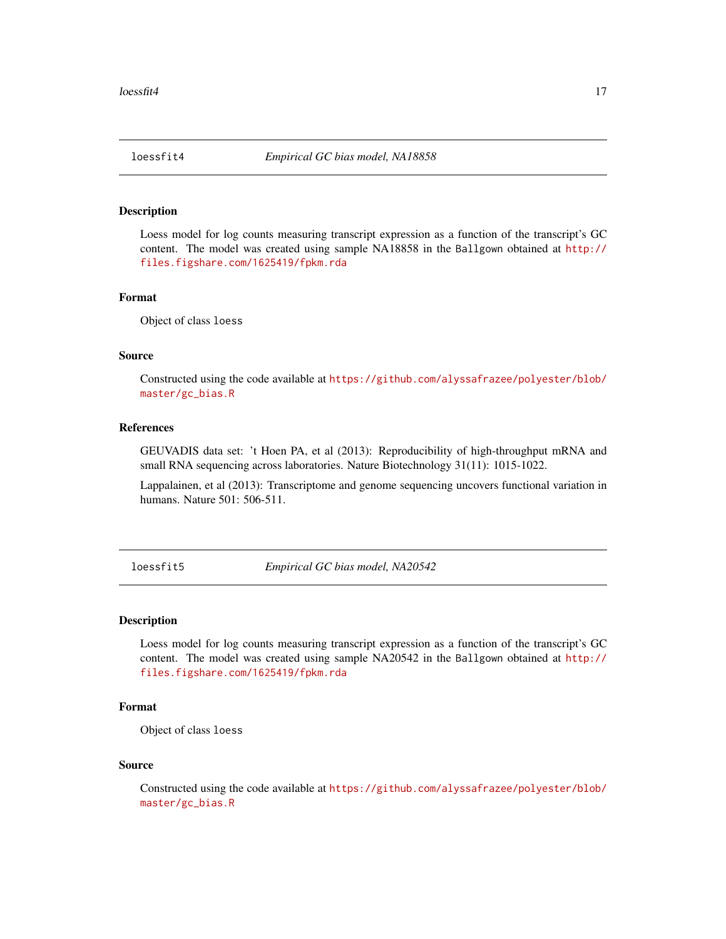<span id="page-16-0"></span>

Loess model for log counts measuring transcript expression as a function of the transcript's GC content. The model was created using sample NA18858 in the Ballgown obtained at [http://](http://files.figshare.com/1625419/fpkm.rda) [files.figshare.com/1625419/fpkm.rda](http://files.figshare.com/1625419/fpkm.rda)

#### Format

Object of class loess

#### Source

Constructed using the code available at [https://github.com/alyssafrazee/polyester/blob/](https://github.com/alyssafrazee/polyester/blob/master/gc_bias.R) [master/gc\\_bias.R](https://github.com/alyssafrazee/polyester/blob/master/gc_bias.R)

#### References

GEUVADIS data set: 't Hoen PA, et al (2013): Reproducibility of high-throughput mRNA and small RNA sequencing across laboratories. Nature Biotechnology 31(11): 1015-1022.

Lappalainen, et al (2013): Transcriptome and genome sequencing uncovers functional variation in humans. Nature 501: 506-511.

loessfit5 *Empirical GC bias model, NA20542*

#### **Description**

Loess model for log counts measuring transcript expression as a function of the transcript's GC content. The model was created using sample NA20542 in the Ballgown obtained at [http://](http://files.figshare.com/1625419/fpkm.rda) [files.figshare.com/1625419/fpkm.rda](http://files.figshare.com/1625419/fpkm.rda)

#### Format

Object of class loess

#### Source

Constructed using the code available at [https://github.com/alyssafrazee/polyester/blob/](https://github.com/alyssafrazee/polyester/blob/master/gc_bias.R) [master/gc\\_bias.R](https://github.com/alyssafrazee/polyester/blob/master/gc_bias.R)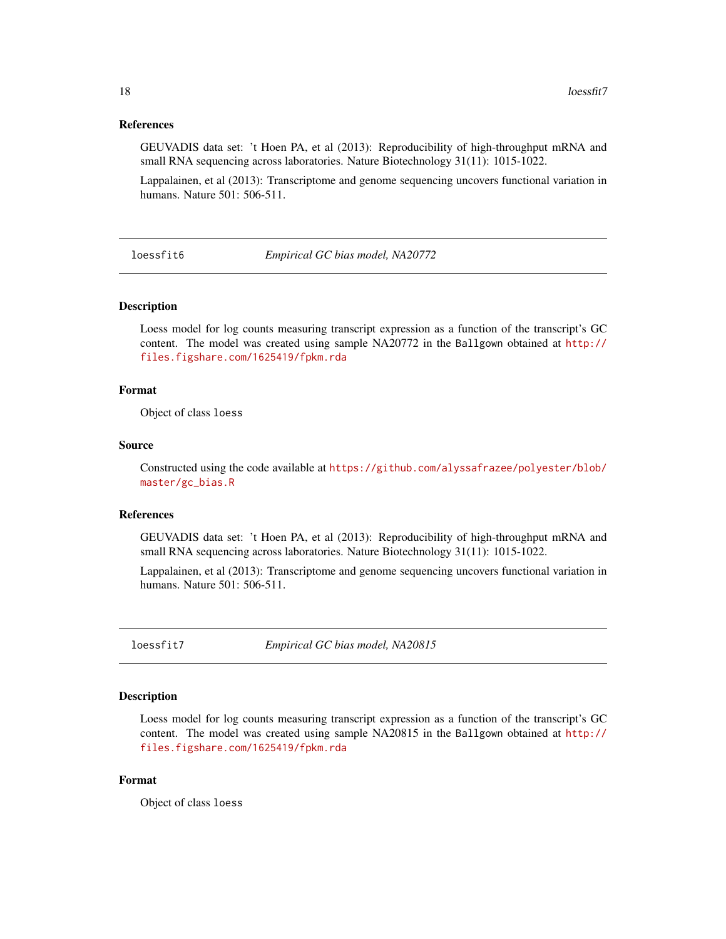#### <span id="page-17-0"></span>References

GEUVADIS data set: 't Hoen PA, et al (2013): Reproducibility of high-throughput mRNA and small RNA sequencing across laboratories. Nature Biotechnology 31(11): 1015-1022.

Lappalainen, et al (2013): Transcriptome and genome sequencing uncovers functional variation in humans. Nature 501: 506-511.

loessfit6 *Empirical GC bias model, NA20772*

#### Description

Loess model for log counts measuring transcript expression as a function of the transcript's GC content. The model was created using sample NA20772 in the Ballgown obtained at [http://](http://files.figshare.com/1625419/fpkm.rda) [files.figshare.com/1625419/fpkm.rda](http://files.figshare.com/1625419/fpkm.rda)

#### Format

Object of class loess

#### Source

Constructed using the code available at [https://github.com/alyssafrazee/polyester/blob/](https://github.com/alyssafrazee/polyester/blob/master/gc_bias.R) [master/gc\\_bias.R](https://github.com/alyssafrazee/polyester/blob/master/gc_bias.R)

#### References

GEUVADIS data set: 't Hoen PA, et al (2013): Reproducibility of high-throughput mRNA and small RNA sequencing across laboratories. Nature Biotechnology 31(11): 1015-1022.

Lappalainen, et al (2013): Transcriptome and genome sequencing uncovers functional variation in humans. Nature 501: 506-511.

loessfit7 *Empirical GC bias model, NA20815*

#### Description

Loess model for log counts measuring transcript expression as a function of the transcript's GC content. The model was created using sample NA20815 in the Ballgown obtained at [http://](http://files.figshare.com/1625419/fpkm.rda) [files.figshare.com/1625419/fpkm.rda](http://files.figshare.com/1625419/fpkm.rda)

#### Format

Object of class loess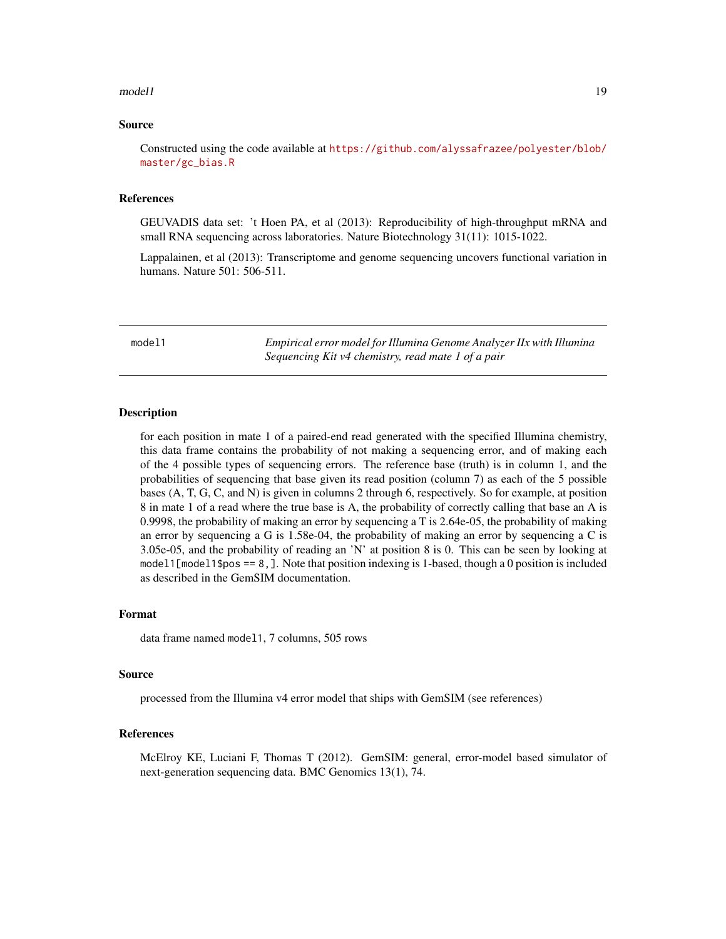#### <span id="page-18-0"></span> $\Box$ model1 19

#### Source

Constructed using the code available at [https://github.com/alyssafrazee/polyester/blob/](https://github.com/alyssafrazee/polyester/blob/master/gc_bias.R) [master/gc\\_bias.R](https://github.com/alyssafrazee/polyester/blob/master/gc_bias.R)

#### References

GEUVADIS data set: 't Hoen PA, et al (2013): Reproducibility of high-throughput mRNA and small RNA sequencing across laboratories. Nature Biotechnology 31(11): 1015-1022.

Lappalainen, et al (2013): Transcriptome and genome sequencing uncovers functional variation in humans. Nature 501: 506-511.

model1 *Empirical error model for Illumina Genome Analyzer IIx with Illumina Sequencing Kit v4 chemistry, read mate 1 of a pair*

#### **Description**

for each position in mate 1 of a paired-end read generated with the specified Illumina chemistry, this data frame contains the probability of not making a sequencing error, and of making each of the 4 possible types of sequencing errors. The reference base (truth) is in column 1, and the probabilities of sequencing that base given its read position (column 7) as each of the 5 possible bases (A, T, G, C, and N) is given in columns 2 through 6, respectively. So for example, at position 8 in mate 1 of a read where the true base is A, the probability of correctly calling that base an A is 0.9998, the probability of making an error by sequencing a T is 2.64e-05, the probability of making an error by sequencing a G is  $1.58e-04$ , the probability of making an error by sequencing a C is 3.05e-05, and the probability of reading an 'N' at position 8 is 0. This can be seen by looking at model1[model1\$pos ==  $8$ , ]. Note that position indexing is 1-based, though a 0 position is included as described in the GemSIM documentation.

#### Format

data frame named model1, 7 columns, 505 rows

#### Source

processed from the Illumina v4 error model that ships with GemSIM (see references)

#### References

McElroy KE, Luciani F, Thomas T (2012). GemSIM: general, error-model based simulator of next-generation sequencing data. BMC Genomics 13(1), 74.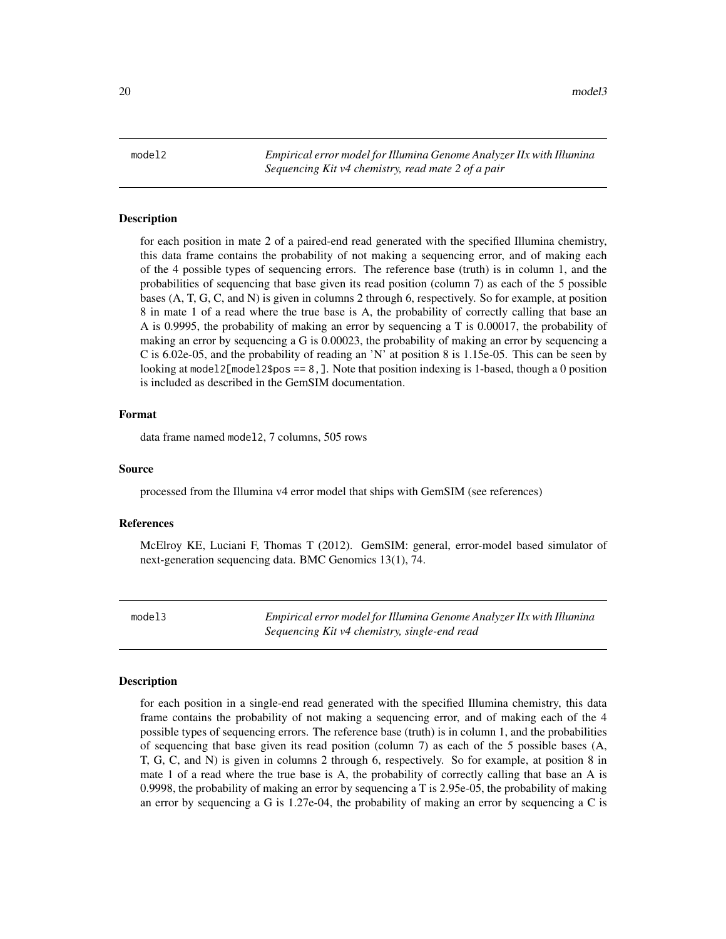<span id="page-19-0"></span>model2 *Empirical error model for Illumina Genome Analyzer IIx with Illumina Sequencing Kit v4 chemistry, read mate 2 of a pair*

#### Description

for each position in mate 2 of a paired-end read generated with the specified Illumina chemistry, this data frame contains the probability of not making a sequencing error, and of making each of the 4 possible types of sequencing errors. The reference base (truth) is in column 1, and the probabilities of sequencing that base given its read position (column 7) as each of the 5 possible bases (A, T, G, C, and N) is given in columns 2 through 6, respectively. So for example, at position 8 in mate 1 of a read where the true base is A, the probability of correctly calling that base an A is 0.9995, the probability of making an error by sequencing a T is 0.00017, the probability of making an error by sequencing a G is 0.00023, the probability of making an error by sequencing a C is 6.02e-05, and the probability of reading an 'N' at position 8 is 1.15e-05. This can be seen by looking at model2[model2\$pos ==  $8$ ,]. Note that position indexing is 1-based, though a 0 position is included as described in the GemSIM documentation.

#### Format

data frame named model2, 7 columns, 505 rows

#### Source

processed from the Illumina v4 error model that ships with GemSIM (see references)

#### References

McElroy KE, Luciani F, Thomas T (2012). GemSIM: general, error-model based simulator of next-generation sequencing data. BMC Genomics 13(1), 74.

model3 *Empirical error model for Illumina Genome Analyzer IIx with Illumina Sequencing Kit v4 chemistry, single-end read*

#### Description

for each position in a single-end read generated with the specified Illumina chemistry, this data frame contains the probability of not making a sequencing error, and of making each of the 4 possible types of sequencing errors. The reference base (truth) is in column 1, and the probabilities of sequencing that base given its read position (column 7) as each of the 5 possible bases (A, T, G, C, and N) is given in columns 2 through 6, respectively. So for example, at position 8 in mate 1 of a read where the true base is A, the probability of correctly calling that base an A is 0.9998, the probability of making an error by sequencing a T is 2.95e-05, the probability of making an error by sequencing a G is 1.27e-04, the probability of making an error by sequencing a C is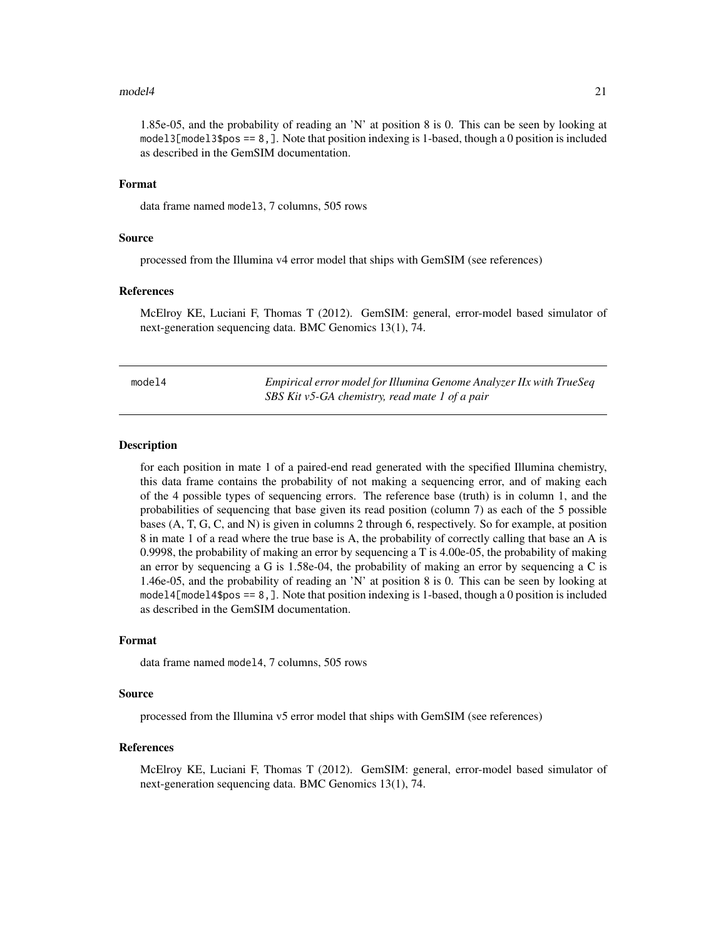#### <span id="page-20-0"></span> $\Box$ model4 21

1.85e-05, and the probability of reading an 'N' at position 8 is 0. This can be seen by looking at model 3[model 3\$pos == 8, ]. Note that position indexing is 1-based, though a 0 position is included as described in the GemSIM documentation.

#### Format

data frame named model3, 7 columns, 505 rows

#### Source

processed from the Illumina v4 error model that ships with GemSIM (see references)

#### References

McElroy KE, Luciani F, Thomas T (2012). GemSIM: general, error-model based simulator of next-generation sequencing data. BMC Genomics 13(1), 74.

| model4 | Empirical error model for Illumina Genome Analyzer IIx with TrueSeq |
|--------|---------------------------------------------------------------------|
|        | SBS Kit v5-GA chemistry, read mate 1 of a pair                      |

#### **Description**

for each position in mate 1 of a paired-end read generated with the specified Illumina chemistry, this data frame contains the probability of not making a sequencing error, and of making each of the 4 possible types of sequencing errors. The reference base (truth) is in column 1, and the probabilities of sequencing that base given its read position (column 7) as each of the 5 possible bases (A, T, G, C, and N) is given in columns 2 through 6, respectively. So for example, at position 8 in mate 1 of a read where the true base is A, the probability of correctly calling that base an A is 0.9998, the probability of making an error by sequencing a T is 4.00e-05, the probability of making an error by sequencing a G is  $1.58e-04$ , the probability of making an error by sequencing a C is 1.46e-05, and the probability of reading an 'N' at position 8 is 0. This can be seen by looking at model4[model4\$pos == 8,]. Note that position indexing is 1-based, though a 0 position is included as described in the GemSIM documentation.

#### Format

data frame named model4, 7 columns, 505 rows

#### Source

processed from the Illumina v5 error model that ships with GemSIM (see references)

#### References

McElroy KE, Luciani F, Thomas T (2012). GemSIM: general, error-model based simulator of next-generation sequencing data. BMC Genomics 13(1), 74.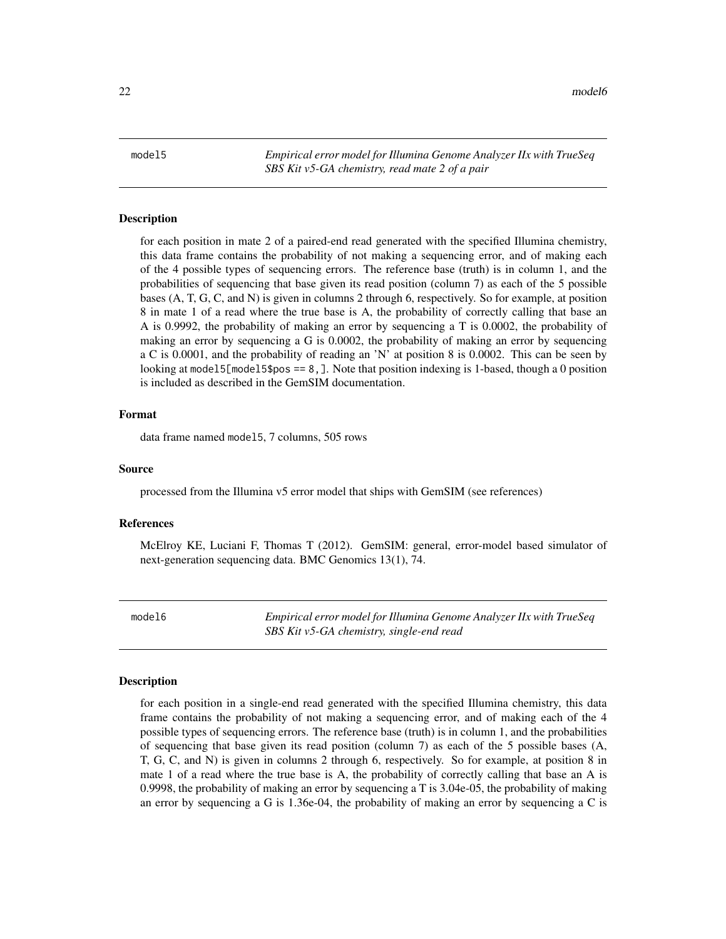<span id="page-21-0"></span>22 model6

model5 *Empirical error model for Illumina Genome Analyzer IIx with TrueSeq SBS Kit v5-GA chemistry, read mate 2 of a pair*

#### Description

for each position in mate 2 of a paired-end read generated with the specified Illumina chemistry, this data frame contains the probability of not making a sequencing error, and of making each of the 4 possible types of sequencing errors. The reference base (truth) is in column 1, and the probabilities of sequencing that base given its read position (column 7) as each of the 5 possible bases (A, T, G, C, and N) is given in columns 2 through 6, respectively. So for example, at position 8 in mate 1 of a read where the true base is A, the probability of correctly calling that base an A is 0.9992, the probability of making an error by sequencing a T is 0.0002, the probability of making an error by sequencing a G is 0.0002, the probability of making an error by sequencing a C is 0.0001, and the probability of reading an 'N' at position 8 is 0.0002. This can be seen by looking at model5[model5\$pos ==  $8$ , ]. Note that position indexing is 1-based, though a 0 position is included as described in the GemSIM documentation.

#### Format

data frame named model5, 7 columns, 505 rows

#### Source

processed from the Illumina v5 error model that ships with GemSIM (see references)

#### References

McElroy KE, Luciani F, Thomas T (2012). GemSIM: general, error-model based simulator of next-generation sequencing data. BMC Genomics 13(1), 74.

model6 *Empirical error model for Illumina Genome Analyzer IIx with TrueSeq SBS Kit v5-GA chemistry, single-end read*

#### Description

for each position in a single-end read generated with the specified Illumina chemistry, this data frame contains the probability of not making a sequencing error, and of making each of the 4 possible types of sequencing errors. The reference base (truth) is in column 1, and the probabilities of sequencing that base given its read position (column 7) as each of the 5 possible bases (A, T, G, C, and N) is given in columns 2 through 6, respectively. So for example, at position 8 in mate 1 of a read where the true base is A, the probability of correctly calling that base an A is 0.9998, the probability of making an error by sequencing a T is 3.04e-05, the probability of making an error by sequencing a G is 1.36e-04, the probability of making an error by sequencing a C is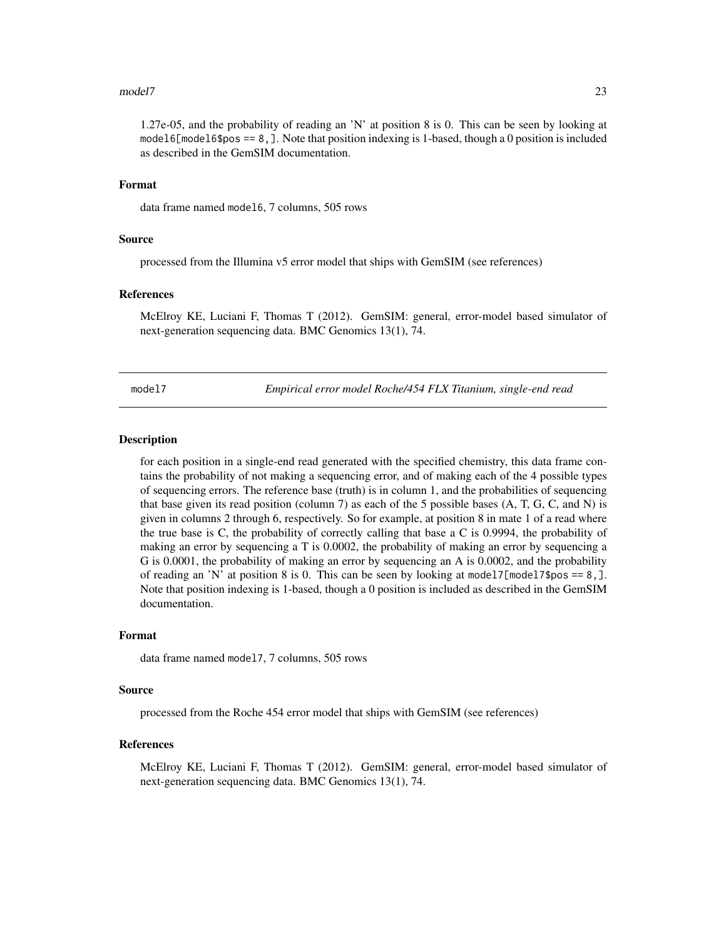#### <span id="page-22-0"></span>model7 23

1.27e-05, and the probability of reading an 'N' at position 8 is 0. This can be seen by looking at model6[model6\$pos == 8,]. Note that position indexing is 1-based, though a 0 position is included as described in the GemSIM documentation.

#### Format

data frame named model6, 7 columns, 505 rows

#### Source

processed from the Illumina v5 error model that ships with GemSIM (see references)

#### References

McElroy KE, Luciani F, Thomas T (2012). GemSIM: general, error-model based simulator of next-generation sequencing data. BMC Genomics 13(1), 74.

model7 *Empirical error model Roche/454 FLX Titanium, single-end read*

#### **Description**

for each position in a single-end read generated with the specified chemistry, this data frame contains the probability of not making a sequencing error, and of making each of the 4 possible types of sequencing errors. The reference base (truth) is in column 1, and the probabilities of sequencing that base given its read position (column 7) as each of the 5 possible bases  $(A, T, G, C, and N)$  is given in columns 2 through 6, respectively. So for example, at position 8 in mate 1 of a read where the true base is C, the probability of correctly calling that base a C is 0.9994, the probability of making an error by sequencing a T is 0.0002, the probability of making an error by sequencing a G is 0.0001, the probability of making an error by sequencing an A is 0.0002, and the probability of reading an 'N' at position 8 is 0. This can be seen by looking at model7 $[model75pos == 8,].$ Note that position indexing is 1-based, though a 0 position is included as described in the GemSIM documentation.

#### Format

data frame named model7, 7 columns, 505 rows

#### Source

processed from the Roche 454 error model that ships with GemSIM (see references)

#### References

McElroy KE, Luciani F, Thomas T (2012). GemSIM: general, error-model based simulator of next-generation sequencing data. BMC Genomics 13(1), 74.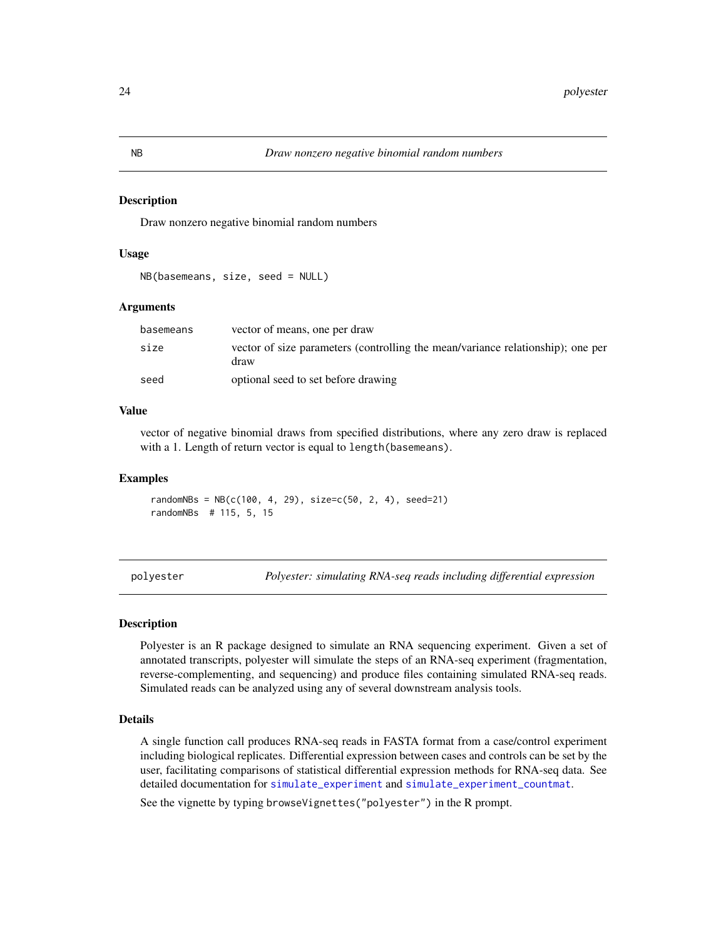Draw nonzero negative binomial random numbers

#### Usage

```
NB(basemeans, size, seed = NULL)
```
#### Arguments

| basemeans | vector of means, one per draw                                                           |
|-----------|-----------------------------------------------------------------------------------------|
| size      | vector of size parameters (controlling the mean/variance relationship); one per<br>draw |
| seed      | optional seed to set before drawing                                                     |

#### Value

vector of negative binomial draws from specified distributions, where any zero draw is replaced with a 1. Length of return vector is equal to length(basemeans).

#### Examples

 $randomNBs = NB(c(100, 4, 29), size=c(50, 2, 4), seed=21)$ randomNBs # 115, 5, 15

polyester *Polyester: simulating RNA-seq reads including differential expression*

#### Description

Polyester is an R package designed to simulate an RNA sequencing experiment. Given a set of annotated transcripts, polyester will simulate the steps of an RNA-seq experiment (fragmentation, reverse-complementing, and sequencing) and produce files containing simulated RNA-seq reads. Simulated reads can be analyzed using any of several downstream analysis tools.

#### Details

A single function call produces RNA-seq reads in FASTA format from a case/control experiment including biological replicates. Differential expression between cases and controls can be set by the user, facilitating comparisons of statistical differential expression methods for RNA-seq data. See detailed documentation for [simulate\\_experiment](#page-26-1) and [simulate\\_experiment\\_countmat](#page-31-1).

See the vignette by typing browseVignettes("polyester") in the R prompt.

<span id="page-23-0"></span>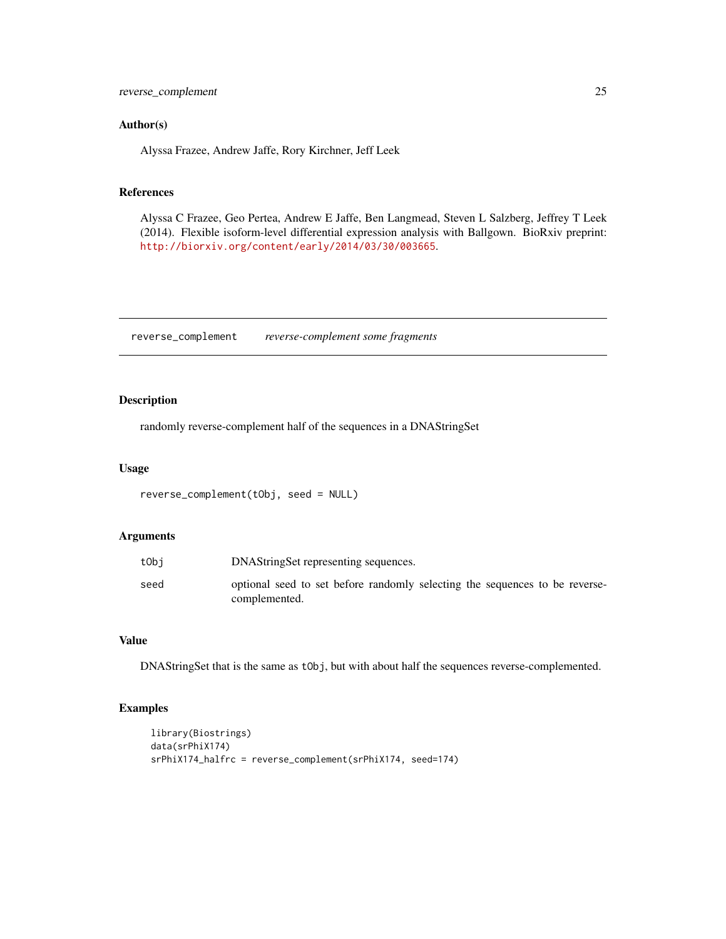<span id="page-24-0"></span>reverse\_complement 25

#### Author(s)

Alyssa Frazee, Andrew Jaffe, Rory Kirchner, Jeff Leek

#### References

Alyssa C Frazee, Geo Pertea, Andrew E Jaffe, Ben Langmead, Steven L Salzberg, Jeffrey T Leek (2014). Flexible isoform-level differential expression analysis with Ballgown. BioRxiv preprint: <http://biorxiv.org/content/early/2014/03/30/003665>.

reverse\_complement *reverse-complement some fragments*

#### Description

randomly reverse-complement half of the sequences in a DNAStringSet

#### Usage

```
reverse_complement(tObj, seed = NULL)
```
#### Arguments

| tObi | DNAStringSet representing sequences.                                                         |
|------|----------------------------------------------------------------------------------------------|
| seed | optional seed to set before randomly selecting the sequences to be reverse-<br>complemented. |

#### Value

DNAStringSet that is the same as tObj, but with about half the sequences reverse-complemented.

```
library(Biostrings)
data(srPhiX174)
srPhiX174_halfrc = reverse_complement(srPhiX174, seed=174)
```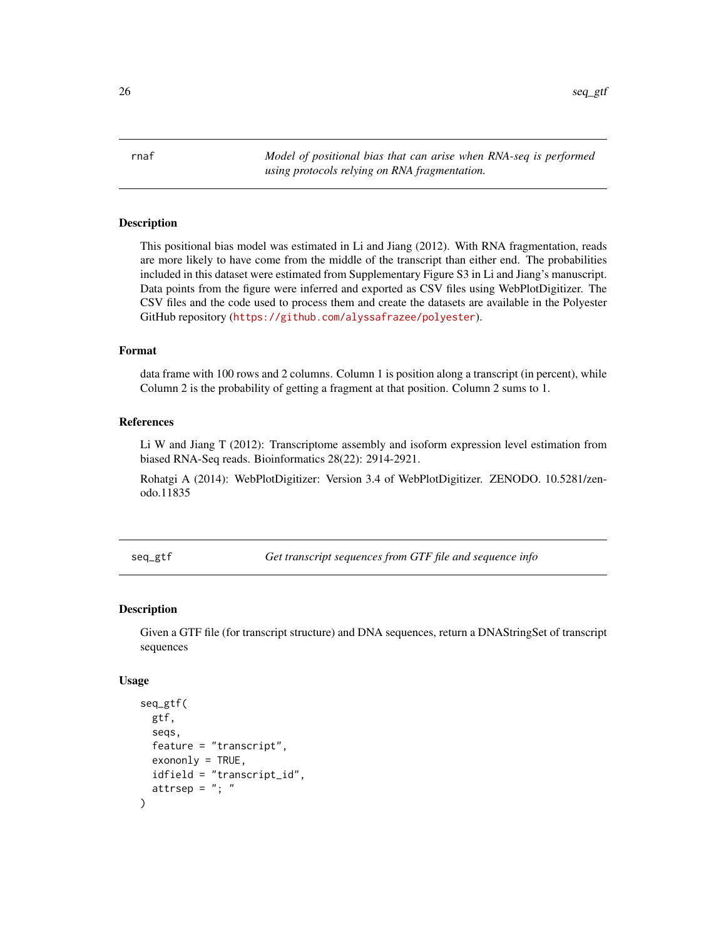<span id="page-25-0"></span>26 seq\_gtf

rnaf *Model of positional bias that can arise when RNA-seq is performed using protocols relying on RNA fragmentation.*

#### **Description**

This positional bias model was estimated in Li and Jiang (2012). With RNA fragmentation, reads are more likely to have come from the middle of the transcript than either end. The probabilities included in this dataset were estimated from Supplementary Figure S3 in Li and Jiang's manuscript. Data points from the figure were inferred and exported as CSV files using WebPlotDigitizer. The CSV files and the code used to process them and create the datasets are available in the Polyester GitHub repository (<https://github.com/alyssafrazee/polyester>).

#### Format

data frame with 100 rows and 2 columns. Column 1 is position along a transcript (in percent), while Column 2 is the probability of getting a fragment at that position. Column 2 sums to 1.

#### References

Li W and Jiang T (2012): Transcriptome assembly and isoform expression level estimation from biased RNA-Seq reads. Bioinformatics 28(22): 2914-2921.

Rohatgi A (2014): WebPlotDigitizer: Version 3.4 of WebPlotDigitizer. ZENODO. 10.5281/zenodo.11835

<span id="page-25-1"></span>seq\_gtf *Get transcript sequences from GTF file and sequence info*

#### Description

Given a GTF file (for transcript structure) and DNA sequences, return a DNAStringSet of transcript sequences

#### Usage

```
seq_gtf(
 gtf,
  seqs,
  feature = "transcript",
  exon only = TRUE,
  idfield = "transcript_id",
  attrsep = "; "
)
```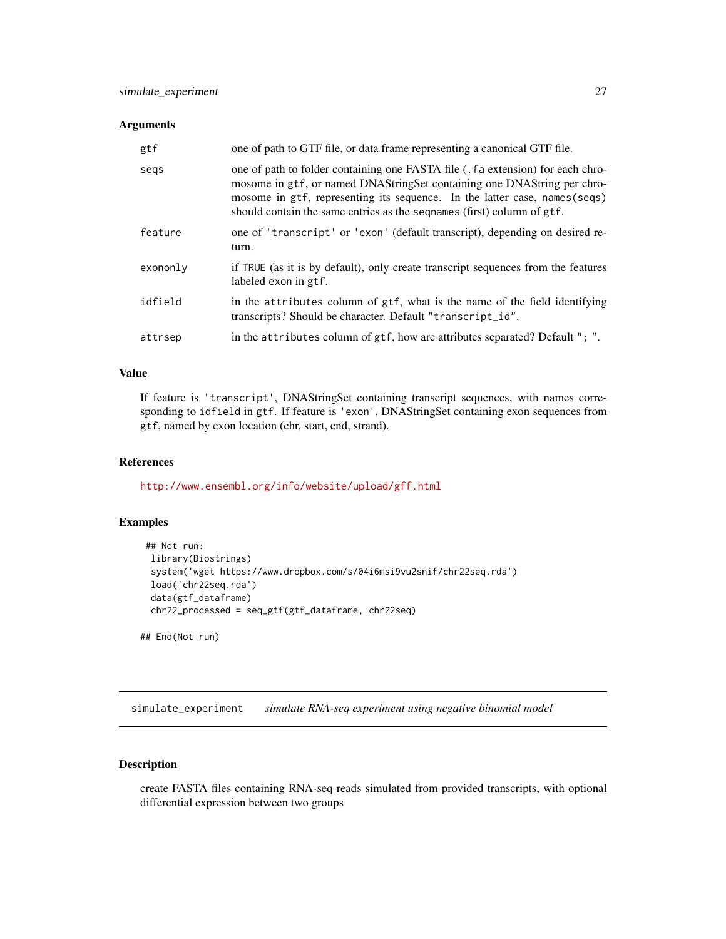#### <span id="page-26-0"></span>**Arguments**

| gtf      | one of path to GTF file, or data frame representing a canonical GTF file.                                                                                                                                                                                                                                          |
|----------|--------------------------------------------------------------------------------------------------------------------------------------------------------------------------------------------------------------------------------------------------------------------------------------------------------------------|
| segs     | one of path to folder containing one FASTA file (. fa extension) for each chro-<br>mosome in gtf, or named DNAStringSet containing one DNAString per chro-<br>mosome in gtf, representing its sequence. In the latter case, names (seqs)<br>should contain the same entries as the segnames (first) column of gtf. |
| feature  | one of 'transcript' or 'exon' (default transcript), depending on desired re-<br>turn.                                                                                                                                                                                                                              |
| exononly | if TRUE (as it is by default), only create transcript sequences from the features<br>labeled exon in gtf.                                                                                                                                                                                                          |
| idfield  | in the attributes column of gtf, what is the name of the field identifying<br>transcripts? Should be character. Default "transcript_id".                                                                                                                                                                           |
| attrsep  | in the attributes column of gtf, how are attributes separated? Default "; ".                                                                                                                                                                                                                                       |

#### Value

If feature is 'transcript', DNAStringSet containing transcript sequences, with names corresponding to idfield in gtf. If feature is 'exon', DNAStringSet containing exon sequences from gtf, named by exon location (chr, start, end, strand).

#### References

<http://www.ensembl.org/info/website/upload/gff.html>

#### Examples

```
## Not run:
library(Biostrings)
 system('wget https://www.dropbox.com/s/04i6msi9vu2snif/chr22seq.rda')
 load('chr22seq.rda')
 data(gtf_dataframe)
 chr22_processed = seq_gtf(gtf_dataframe, chr22seq)
```
## End(Not run)

<span id="page-26-1"></span>simulate\_experiment *simulate RNA-seq experiment using negative binomial model*

#### Description

create FASTA files containing RNA-seq reads simulated from provided transcripts, with optional differential expression between two groups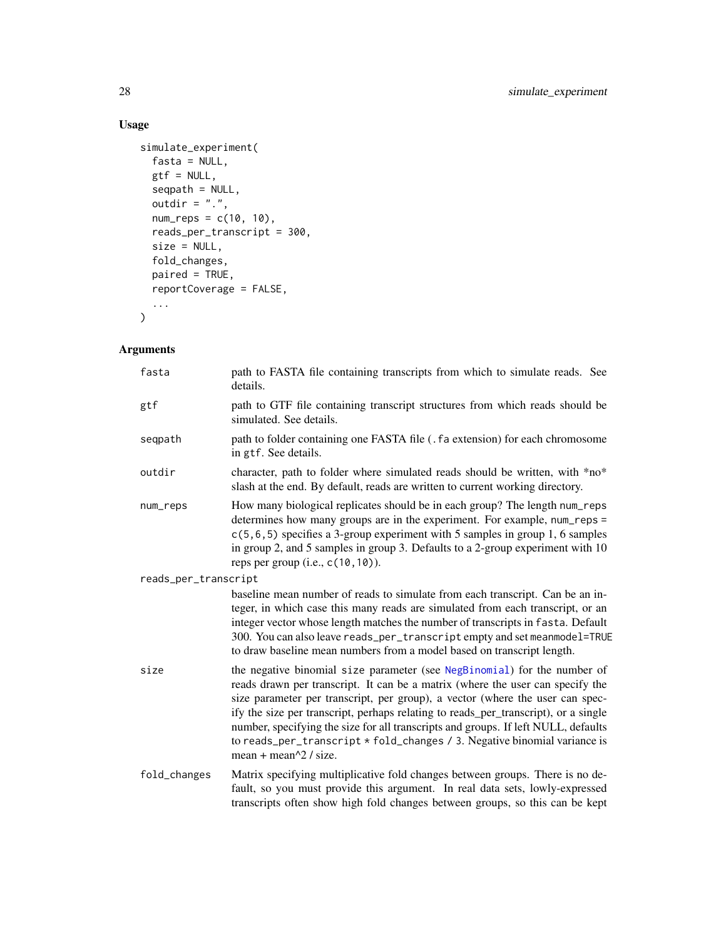#### Usage

```
simulate_experiment(
  fasta = NULL,
  gtf = NULL,seqpath = NULL,
  outdir = ".',
  num\_reps = c(10, 10),
  reads_per_transcript = 300,
  size = NULL,
  fold_changes,
  paired = TRUE,
  reportCoverage = FALSE,
  ...
\mathcal{L}
```
#### Arguments

| fasta                | path to FASTA file containing transcripts from which to simulate reads. See<br>details.                                                                                                                                                                                                                                                                                                                                                                                                                                                    |
|----------------------|--------------------------------------------------------------------------------------------------------------------------------------------------------------------------------------------------------------------------------------------------------------------------------------------------------------------------------------------------------------------------------------------------------------------------------------------------------------------------------------------------------------------------------------------|
| gtf                  | path to GTF file containing transcript structures from which reads should be<br>simulated. See details.                                                                                                                                                                                                                                                                                                                                                                                                                                    |
| seqpath              | path to folder containing one FASTA file (. fa extension) for each chromosome<br>in gtf. See details.                                                                                                                                                                                                                                                                                                                                                                                                                                      |
| outdir               | character, path to folder where simulated reads should be written, with *no*<br>slash at the end. By default, reads are written to current working directory.                                                                                                                                                                                                                                                                                                                                                                              |
| num_reps             | How many biological replicates should be in each group? The length num_reps<br>determines how many groups are in the experiment. For example, num_reps =<br>$c(5, 6, 5)$ specifies a 3-group experiment with 5 samples in group 1, 6 samples<br>in group 2, and 5 samples in group 3. Defaults to a 2-group experiment with 10<br>reps per group (i.e., $c(10, 10)$ ).                                                                                                                                                                     |
| reads_per_transcript |                                                                                                                                                                                                                                                                                                                                                                                                                                                                                                                                            |
|                      | baseline mean number of reads to simulate from each transcript. Can be an in-<br>teger, in which case this many reads are simulated from each transcript, or an<br>integer vector whose length matches the number of transcripts in fasta. Default<br>300. You can also leave reads_per_transcript empty and set meanmodel=TRUE<br>to draw baseline mean numbers from a model based on transcript length.                                                                                                                                  |
| size                 | the negative binomial size parameter (see NegBinomial) for the number of<br>reads drawn per transcript. It can be a matrix (where the user can specify the<br>size parameter per transcript, per group), a vector (where the user can spec-<br>ify the size per transcript, perhaps relating to reads_per_transcript), or a single<br>number, specifying the size for all transcripts and groups. If left NULL, defaults<br>to reads_per_transcript * fold_changes / 3. Negative binomial variance is<br>mean + mean $\frac{1}{2}$ / size. |
| fold_changes         | Matrix specifying multiplicative fold changes between groups. There is no de-<br>fault, so you must provide this argument. In real data sets, lowly-expressed<br>transcripts often show high fold changes between groups, so this can be kept                                                                                                                                                                                                                                                                                              |

<span id="page-27-0"></span>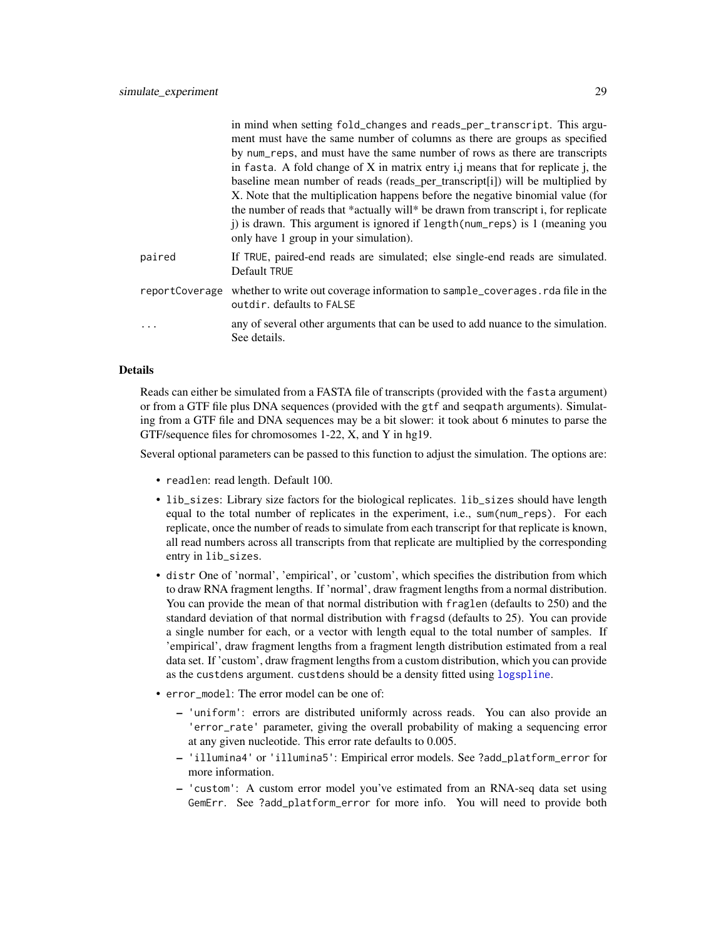<span id="page-28-0"></span>

|                | in mind when setting fold_changes and reads_per_transcript. This argu-<br>ment must have the same number of columns as there are groups as specified<br>by num_reps, and must have the same number of rows as there are transcripts<br>in fasta. A fold change of $X$ in matrix entry i, means that for replicate j, the<br>baseline mean number of reads (reads_per_transcript[i]) will be multiplied by<br>X. Note that the multiplication happens before the negative binomial value (for<br>the number of reads that *actually will* be drawn from transcript i, for replicate<br>j) is drawn. This argument is ignored if length (num_reps) is 1 (meaning you<br>only have 1 group in your simulation). |
|----------------|--------------------------------------------------------------------------------------------------------------------------------------------------------------------------------------------------------------------------------------------------------------------------------------------------------------------------------------------------------------------------------------------------------------------------------------------------------------------------------------------------------------------------------------------------------------------------------------------------------------------------------------------------------------------------------------------------------------|
| paired         | If TRUE, paired-end reads are simulated; else single-end reads are simulated.<br>Default TRUE                                                                                                                                                                                                                                                                                                                                                                                                                                                                                                                                                                                                                |
| reportCoverage | whether to write out coverage information to sample_coverages. rda file in the<br>outdir, defaults to FALSE                                                                                                                                                                                                                                                                                                                                                                                                                                                                                                                                                                                                  |
| .              | any of several other arguments that can be used to add nuance to the simulation.<br>See details.                                                                                                                                                                                                                                                                                                                                                                                                                                                                                                                                                                                                             |

#### Details

Reads can either be simulated from a FASTA file of transcripts (provided with the fasta argument) or from a GTF file plus DNA sequences (provided with the gtf and seqpath arguments). Simulating from a GTF file and DNA sequences may be a bit slower: it took about 6 minutes to parse the GTF/sequence files for chromosomes 1-22, X, and Y in hg19.

Several optional parameters can be passed to this function to adjust the simulation. The options are:

- readlen: read length. Default 100.
- lib\_sizes: Library size factors for the biological replicates. lib\_sizes should have length equal to the total number of replicates in the experiment, i.e., sum(num\_reps). For each replicate, once the number of reads to simulate from each transcript for that replicate is known, all read numbers across all transcripts from that replicate are multiplied by the corresponding entry in lib\_sizes.
- distr One of 'normal', 'empirical', or 'custom', which specifies the distribution from which to draw RNA fragment lengths. If 'normal', draw fragment lengths from a normal distribution. You can provide the mean of that normal distribution with fraglen (defaults to 250) and the standard deviation of that normal distribution with fragsd (defaults to 25). You can provide a single number for each, or a vector with length equal to the total number of samples. If 'empirical', draw fragment lengths from a fragment length distribution estimated from a real data set. If 'custom', draw fragment lengths from a custom distribution, which you can provide as the custdens argument. custdens should be a density fitted using [logspline](#page-0-0).
- error\_model: The error model can be one of:
	- 'uniform': errors are distributed uniformly across reads. You can also provide an 'error\_rate' parameter, giving the overall probability of making a sequencing error at any given nucleotide. This error rate defaults to 0.005.
	- 'illumina4' or 'illumina5': Empirical error models. See ?add\_platform\_error for more information.
	- 'custom': A custom error model you've estimated from an RNA-seq data set using GemErr. See ?add\_platform\_error for more info. You will need to provide both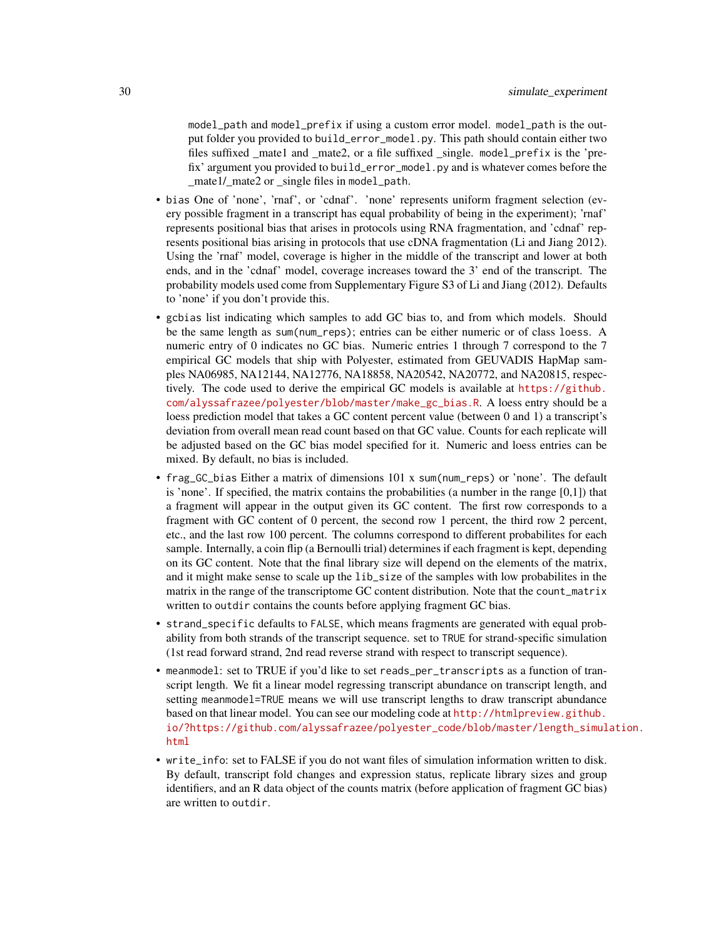model\_path and model\_prefix if using a custom error model. model\_path is the output folder you provided to build\_error\_model.py. This path should contain either two files suffixed mate1 and mate2, or a file suffixed single. mode1\_prefix is the 'prefix' argument you provided to build\_error\_model.py and is whatever comes before the mate1/ mate2 or single files in mode1\_path.

- bias One of 'none', 'rnaf', or 'cdnaf'. 'none' represents uniform fragment selection (every possible fragment in a transcript has equal probability of being in the experiment); 'rnaf' represents positional bias that arises in protocols using RNA fragmentation, and 'cdnaf' represents positional bias arising in protocols that use cDNA fragmentation (Li and Jiang 2012). Using the 'rnaf' model, coverage is higher in the middle of the transcript and lower at both ends, and in the 'cdnaf' model, coverage increases toward the 3' end of the transcript. The probability models used come from Supplementary Figure S3 of Li and Jiang (2012). Defaults to 'none' if you don't provide this.
- gcbias list indicating which samples to add GC bias to, and from which models. Should be the same length as sum(num\_reps); entries can be either numeric or of class loess. A numeric entry of 0 indicates no GC bias. Numeric entries 1 through 7 correspond to the 7 empirical GC models that ship with Polyester, estimated from GEUVADIS HapMap samples NA06985, NA12144, NA12776, NA18858, NA20542, NA20772, and NA20815, respectively. The code used to derive the empirical GC models is available at [https://github.](https://github.com/alyssafrazee/polyester/blob/master/make_gc_bias.R) [com/alyssafrazee/polyester/blob/master/make\\_gc\\_bias.R](https://github.com/alyssafrazee/polyester/blob/master/make_gc_bias.R). A loess entry should be a loess prediction model that takes a GC content percent value (between 0 and 1) a transcript's deviation from overall mean read count based on that GC value. Counts for each replicate will be adjusted based on the GC bias model specified for it. Numeric and loess entries can be mixed. By default, no bias is included.
- frag\_GC\_bias Either a matrix of dimensions 101 x sum(num\_reps) or 'none'. The default is 'none'. If specified, the matrix contains the probabilities (a number in the range  $[0,1]$ ) that a fragment will appear in the output given its GC content. The first row corresponds to a fragment with GC content of 0 percent, the second row 1 percent, the third row 2 percent, etc., and the last row 100 percent. The columns correspond to different probabilites for each sample. Internally, a coin flip (a Bernoulli trial) determines if each fragment is kept, depending on its GC content. Note that the final library size will depend on the elements of the matrix, and it might make sense to scale up the lib\_size of the samples with low probabilites in the matrix in the range of the transcriptome GC content distribution. Note that the count\_matrix written to outdir contains the counts before applying fragment GC bias.
- strand\_specific defaults to FALSE, which means fragments are generated with equal probability from both strands of the transcript sequence. set to TRUE for strand-specific simulation (1st read forward strand, 2nd read reverse strand with respect to transcript sequence).
- meanmodel: set to TRUE if you'd like to set reads\_per\_transcripts as a function of transcript length. We fit a linear model regressing transcript abundance on transcript length, and setting meanmodel=TRUE means we will use transcript lengths to draw transcript abundance based on that linear model. You can see our modeling code at [http://htmlpreview.github.](http://htmlpreview.github.io/?https://github.com/alyssafrazee/polyester_code/blob/master/length_simulation.html) [io/?https://github.com/alyssafrazee/polyester\\_code/blob/master/length\\_simul](http://htmlpreview.github.io/?https://github.com/alyssafrazee/polyester_code/blob/master/length_simulation.html)ation. [html](http://htmlpreview.github.io/?https://github.com/alyssafrazee/polyester_code/blob/master/length_simulation.html)
- write\_info: set to FALSE if you do not want files of simulation information written to disk. By default, transcript fold changes and expression status, replicate library sizes and group identifiers, and an R data object of the counts matrix (before application of fragment GC bias) are written to outdir.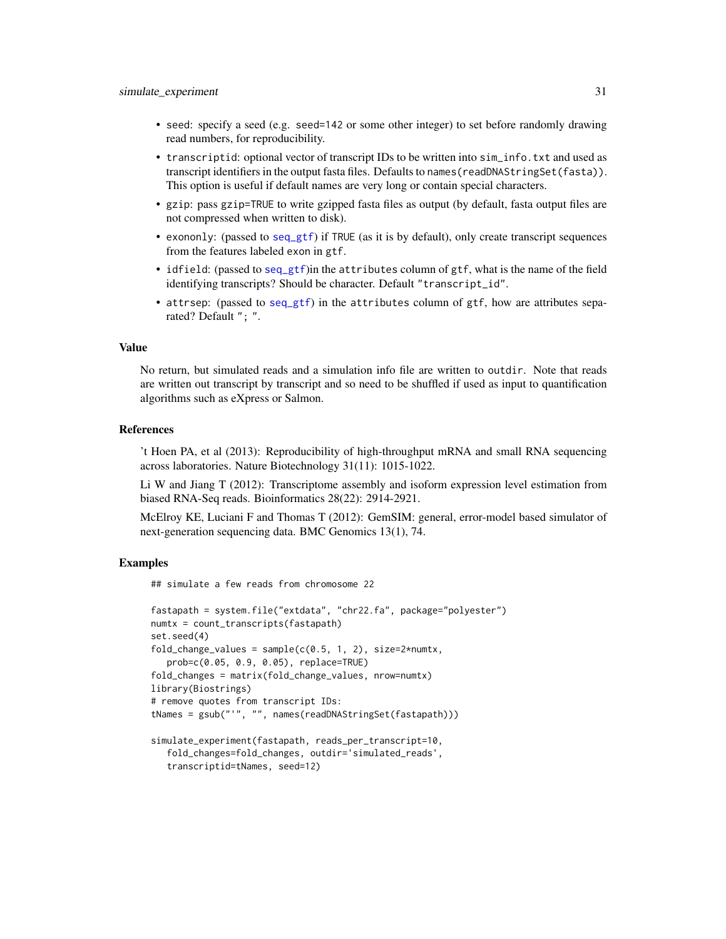- <span id="page-30-0"></span>• seed: specify a seed (e.g. seed=142 or some other integer) to set before randomly drawing read numbers, for reproducibility.
- transcriptid: optional vector of transcript IDs to be written into sim\_info.txt and used as transcript identifiers in the output fasta files. Defaults to names(readDNAStringSet(fasta)). This option is useful if default names are very long or contain special characters.
- gzip: pass gzip=TRUE to write gzipped fasta files as output (by default, fasta output files are not compressed when written to disk).
- exononly: (passed to [seq\\_gtf](#page-25-1)) if TRUE (as it is by default), only create transcript sequences from the features labeled exon in gtf.
- idfield: (passed to [seq\\_gtf](#page-25-1))in the attributes column of gtf, what is the name of the field identifying transcripts? Should be character. Default "transcript\_id".
- attrsep: (passed to [seq\\_gtf](#page-25-1)) in the attributes column of gtf, how are attributes separated? Default "; ".

#### Value

No return, but simulated reads and a simulation info file are written to outdir. Note that reads are written out transcript by transcript and so need to be shuffled if used as input to quantification algorithms such as eXpress or Salmon.

#### References

't Hoen PA, et al (2013): Reproducibility of high-throughput mRNA and small RNA sequencing across laboratories. Nature Biotechnology 31(11): 1015-1022.

Li W and Jiang T (2012): Transcriptome assembly and isoform expression level estimation from biased RNA-Seq reads. Bioinformatics 28(22): 2914-2921.

McElroy KE, Luciani F and Thomas T (2012): GemSIM: general, error-model based simulator of next-generation sequencing data. BMC Genomics 13(1), 74.

#### Examples

## simulate a few reads from chromosome 22

```
fastapath = system.file("extdata", "chr22.fa", package="polyester")
numtx = count_transcripts(fastapath)
set.seed(4)
fold_change_values = sample(c(0.5, 1, 2), size=2*numtx,prob=c(0.05, 0.9, 0.05), replace=TRUE)
fold_changes = matrix(fold_change_values, nrow=numtx)
library(Biostrings)
# remove quotes from transcript IDs:
tNames = gsub("'", "", names(readDNAStringSet(fastapath)))
simulate_experiment(fastapath, reads_per_transcript=10,
```

```
fold_changes=fold_changes, outdir='simulated_reads',
transcriptid=tNames, seed=12)
```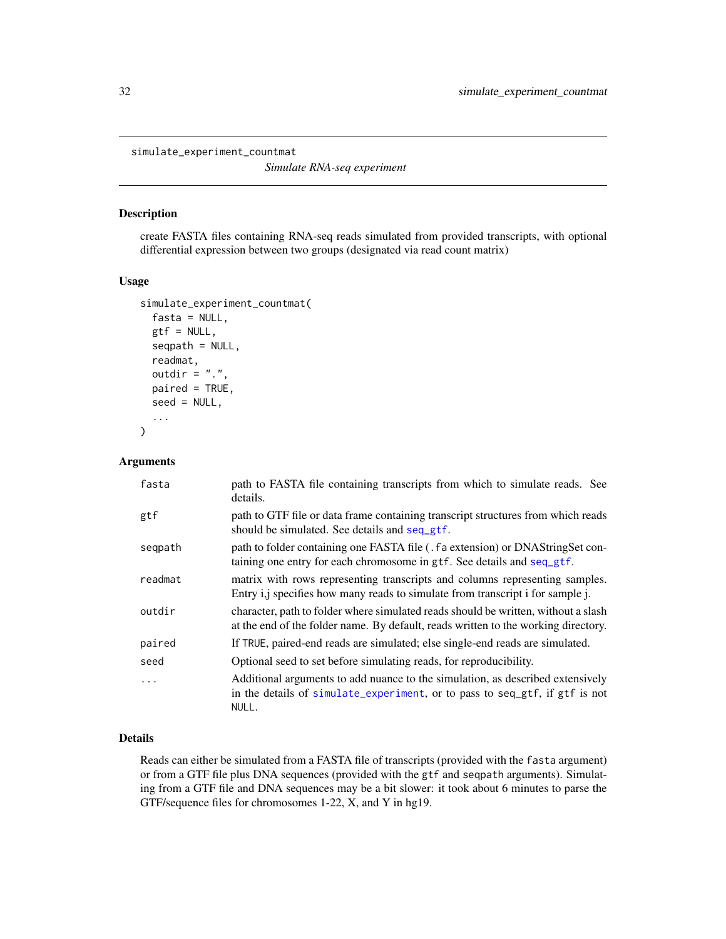<span id="page-31-1"></span><span id="page-31-0"></span>simulate\_experiment\_countmat

*Simulate RNA-seq experiment*

#### Description

create FASTA files containing RNA-seq reads simulated from provided transcripts, with optional differential expression between two groups (designated via read count matrix)

#### Usage

```
simulate_experiment_countmat(
  fasta = NULL,gtf = NULL,seqpath = NULL,
  readmat,
  outdir = ".".paired = TRUE,
  seed = NULL,
  ...
\mathcal{E}
```
#### Arguments

| fasta   | path to FASTA file containing transcripts from which to simulate reads. See<br>details.                                                                                  |
|---------|--------------------------------------------------------------------------------------------------------------------------------------------------------------------------|
| gtf     | path to GTF file or data frame containing transcript structures from which reads<br>should be simulated. See details and seq_gtf.                                        |
| seqpath | path to folder containing one FASTA file (. fa extension) or DNAStringSet con-<br>taining one entry for each chromosome in gtf. See details and seq_gtf.                 |
| readmat | matrix with rows representing transcripts and columns representing samples.<br>Entry i,j specifies how many reads to simulate from transcript i for sample j.            |
| outdir  | character, path to folder where simulated reads should be written, without a slash<br>at the end of the folder name. By default, reads written to the working directory. |
| paired  | If TRUE, paired-end reads are simulated; else single-end reads are simulated.                                                                                            |
| seed    | Optional seed to set before simulating reads, for reproducibility.                                                                                                       |
| .       | Additional arguments to add nuance to the simulation, as described extensively<br>in the details of simulate_experiment, or to pass to seq_gtf, if gtf is not<br>NULL.   |

#### Details

Reads can either be simulated from a FASTA file of transcripts (provided with the fasta argument) or from a GTF file plus DNA sequences (provided with the gtf and seqpath arguments). Simulating from a GTF file and DNA sequences may be a bit slower: it took about 6 minutes to parse the GTF/sequence files for chromosomes 1-22, X, and Y in hg19.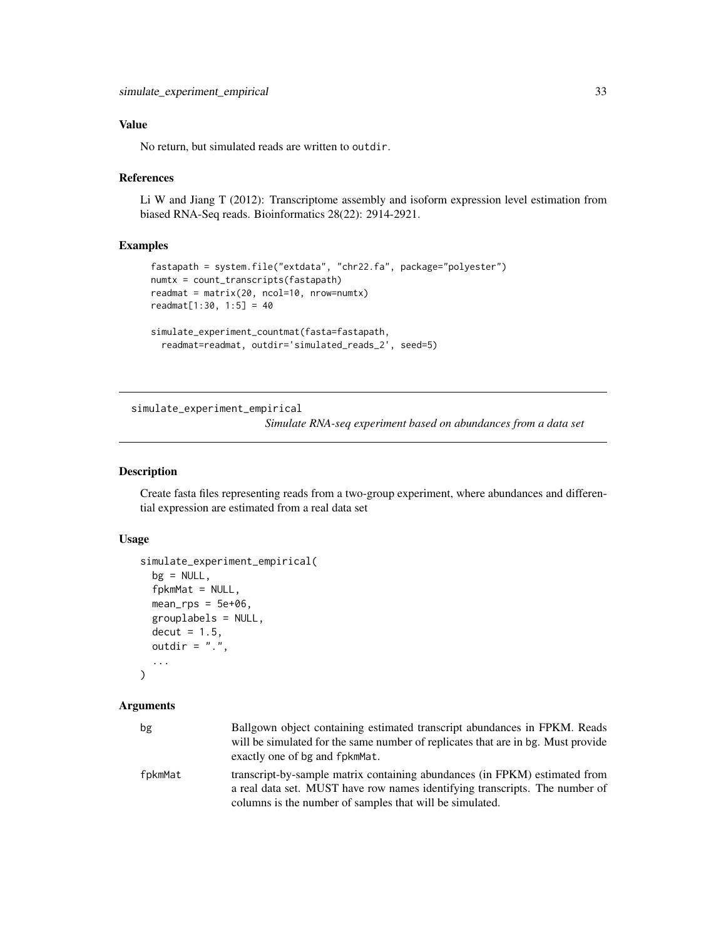#### <span id="page-32-0"></span>Value

No return, but simulated reads are written to outdir.

#### References

Li W and Jiang T (2012): Transcriptome assembly and isoform expression level estimation from biased RNA-Seq reads. Bioinformatics 28(22): 2914-2921.

#### Examples

```
fastapath = system.file("extdata", "chr22.fa", package="polyester")
numtx = count_transcripts(fastapath)
readmat = matrix(20, ncol=10, nrow=numtx)
readmat[1:30, 1:5] = 40
simulate_experiment_countmat(fasta=fastapath,
  readmat=readmat, outdir='simulated_reads_2', seed=5)
```
simulate\_experiment\_empirical

*Simulate RNA-seq experiment based on abundances from a data set*

#### Description

Create fasta files representing reads from a two-group experiment, where abundances and differential expression are estimated from a real data set

#### Usage

```
simulate_experiment_empirical(
 bg = NULL,
  fpkmMat = NULL,
 mean_rps = 5e+06,
 grouplabels = NULL,
 decut = 1.5,
 outdir = "."....
)
```
#### Arguments

| bg      | Ballgown object containing estimated transcript abundances in FPKM. Reads<br>will be simulated for the same number of replicates that are in bg. Must provide<br>exactly one of bg and fpkmMat.                       |
|---------|-----------------------------------------------------------------------------------------------------------------------------------------------------------------------------------------------------------------------|
| fpkmMat | transcript-by-sample matrix containing abundances (in FPKM) estimated from<br>a real data set. MUST have row names identifying transcripts. The number of<br>columns is the number of samples that will be simulated. |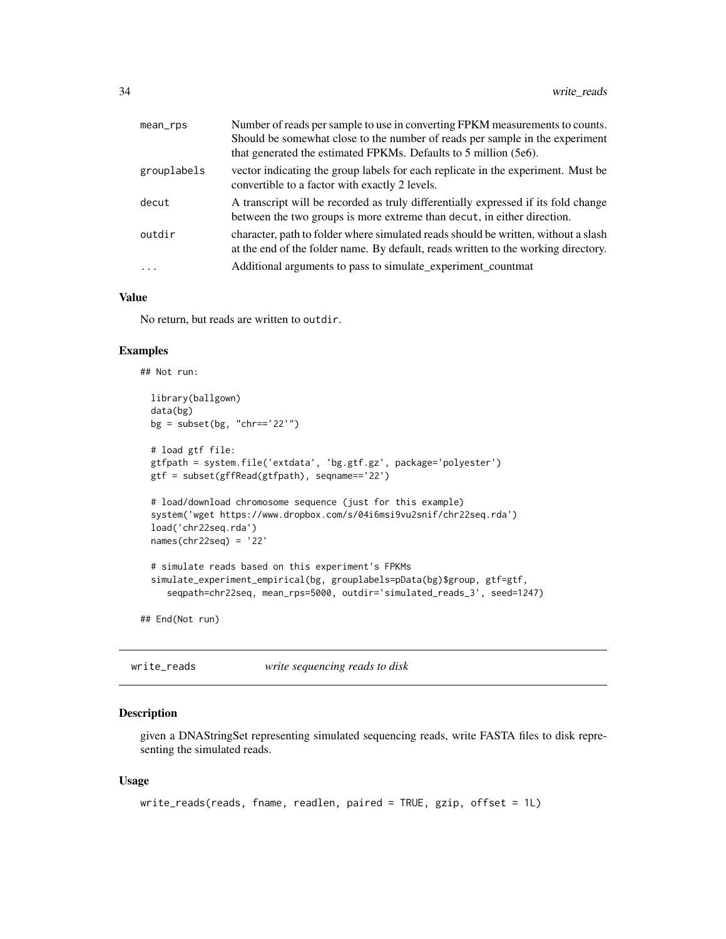<span id="page-33-0"></span>

| mean_rps    | Number of reads per sample to use in converting FPKM measurements to counts.                                                                                             |
|-------------|--------------------------------------------------------------------------------------------------------------------------------------------------------------------------|
|             | Should be somewhat close to the number of reads per sample in the experiment                                                                                             |
|             | that generated the estimated FPKMs. Defaults to 5 million (5e6).                                                                                                         |
| grouplabels | vector indicating the group labels for each replicate in the experiment. Must be<br>convertible to a factor with exactly 2 levels.                                       |
| decut       | A transcript will be recorded as truly differentially expressed if its fold change<br>between the two groups is more extreme than decut, in either direction.            |
| outdir      | character, path to folder where simulated reads should be written, without a slash<br>at the end of the folder name. By default, reads written to the working directory. |
| $\cdots$    | Additional arguments to pass to simulate_experiment_countmat                                                                                                             |

#### Value

No return, but reads are written to outdir.

#### Examples

```
## Not run:
 library(ballgown)
 data(bg)
 bg = subset(bg, "chr=='22'")
 # load gtf file:
 gtfpath = system.file('extdata', 'bg.gtf.gz', package='polyester')
 gtf = subset(gffRead(gtfpath), seqname=='22')
 # load/download chromosome sequence (just for this example)
 system('wget https://www.dropbox.com/s/04i6msi9vu2snif/chr22seq.rda')
 load('chr22seq.rda')
 names(chr22seq) = '22'
 # simulate reads based on this experiment's FPKMs
 simulate_experiment_empirical(bg, grouplabels=pData(bg)$group, gtf=gtf,
     seqpath=chr22seq, mean_rps=5000, outdir='simulated_reads_3', seed=1247)
## End(Not run)
```
write\_reads *write sequencing reads to disk*

#### Description

given a DNAStringSet representing simulated sequencing reads, write FASTA files to disk representing the simulated reads.

#### Usage

```
write_reads(reads, fname, readlen, paired = TRUE, gzip, offset = 1L)
```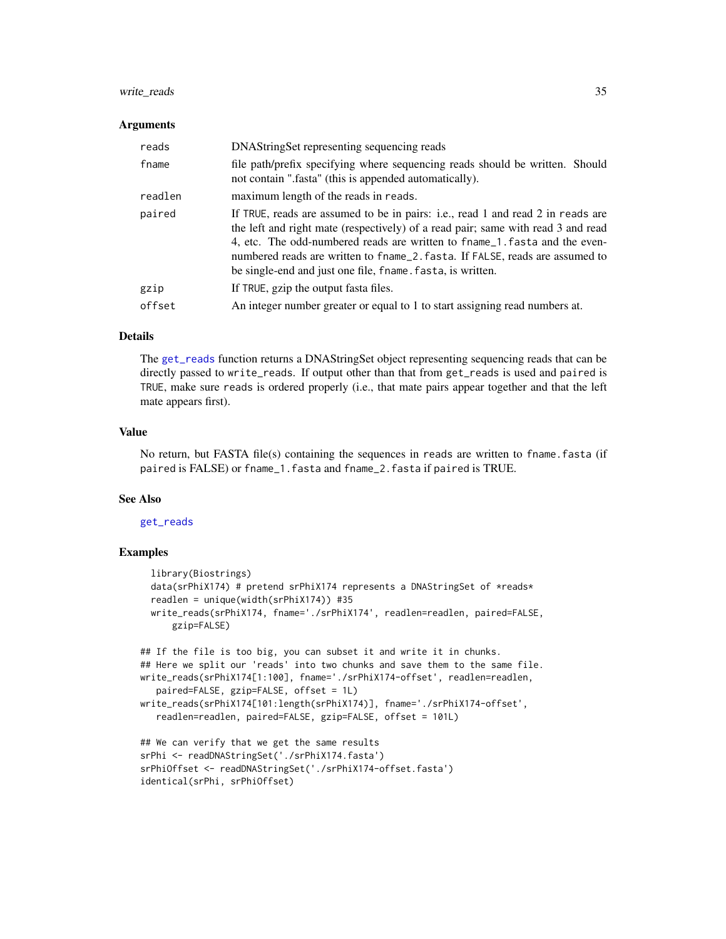#### <span id="page-34-0"></span>write\_reads 35

#### **Arguments**

| reads   | DNAStringSet representing sequencing reads                                                                                                                                                                                                                                                                                                                                                       |
|---------|--------------------------------------------------------------------------------------------------------------------------------------------------------------------------------------------------------------------------------------------------------------------------------------------------------------------------------------------------------------------------------------------------|
| fname   | file path/prefix specifying where sequencing reads should be written. Should<br>not contain ".fasta" (this is appended automatically).                                                                                                                                                                                                                                                           |
| readlen | maximum length of the reads in reads.                                                                                                                                                                                                                                                                                                                                                            |
| paired  | If TRUE, reads are assumed to be in pairs: i.e., read 1 and read 2 in reads are<br>the left and right mate (respectively) of a read pair; same with read 3 and read<br>4, etc. The odd-numbered reads are written to fname_1. fasta and the even-<br>numbered reads are written to finame_2. fasta. If FALSE, reads are assumed to<br>be single-end and just one file, fname. fasta, is written. |
| gzip    | If TRUE, gzip the output fasta files.                                                                                                                                                                                                                                                                                                                                                            |
| offset  | An integer number greater or equal to 1 to start assigning read numbers at.                                                                                                                                                                                                                                                                                                                      |

#### Details

The [get\\_reads](#page-13-1) function returns a DNAStringSet object representing sequencing reads that can be directly passed to write\_reads. If output other than that from get\_reads is used and paired is TRUE, make sure reads is ordered properly (i.e., that mate pairs appear together and that the left mate appears first).

#### Value

No return, but FASTA file(s) containing the sequences in reads are written to fname.fasta (if paired is FALSE) or fname\_1.fasta and fname\_2.fasta if paired is TRUE.

#### See Also

#### [get\\_reads](#page-13-1)

```
library(Biostrings)
 data(srPhiX174) # pretend srPhiX174 represents a DNAStringSet of *reads*
 readlen = unique(width(srPhiX174)) #35
 write_reads(srPhiX174, fname='./srPhiX174', readlen=readlen, paired=FALSE,
     gzip=FALSE)
## If the file is too big, you can subset it and write it in chunks.
## Here we split our 'reads' into two chunks and save them to the same file.
write_reads(srPhiX174[1:100], fname='./srPhiX174-offset', readlen=readlen,
   paired=FALSE, gzip=FALSE, offset = 1L)
write_reads(srPhiX174[101:length(srPhiX174)], fname='./srPhiX174-offset',
   readlen=readlen, paired=FALSE, gzip=FALSE, offset = 101L)
## We can verify that we get the same results
srPhi <- readDNAStringSet('./srPhiX174.fasta')
srPhiOffset <- readDNAStringSet('./srPhiX174-offset.fasta')
identical(srPhi, srPhiOffset)
```